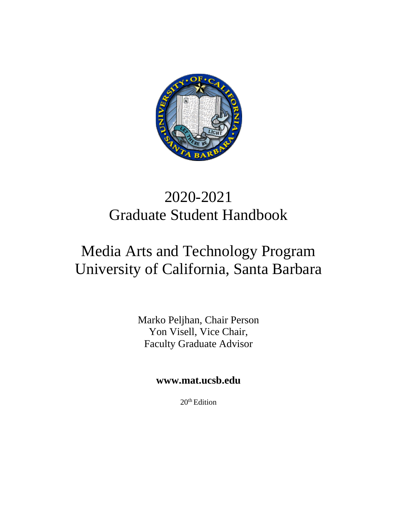

# 2020-2021 Graduate Student Handbook

# Media Arts and Technology Program University of California, Santa Barbara

Marko Peljhan, Chair Person Yon Visell, Vice Chair, Faculty Graduate Advisor

**[www.mat.ucsb.edu](http://www.mat.ucsb.edu/)**

20<sup>th</sup> Edition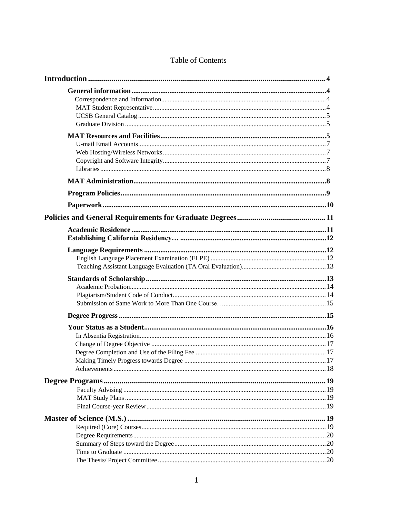| The Thesis/Project Committee | 20 |
|------------------------------|----|
|                              |    |

## Table of Contents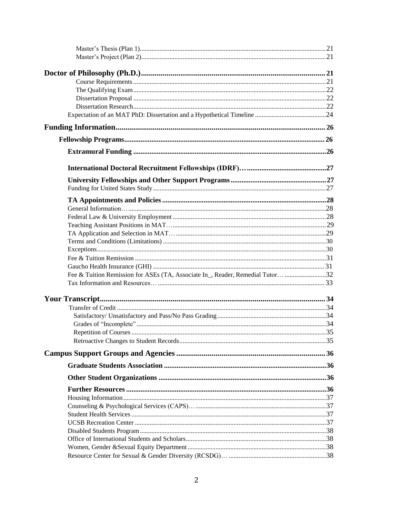| Fee & Tuition Remission for ASEs (TA, Associate In _, Reader, Remedial Tutor 32 |  |
|---------------------------------------------------------------------------------|--|
|                                                                                 |  |
|                                                                                 |  |
|                                                                                 |  |
|                                                                                 |  |
|                                                                                 |  |
|                                                                                 |  |
|                                                                                 |  |
|                                                                                 |  |
|                                                                                 |  |
|                                                                                 |  |
|                                                                                 |  |
|                                                                                 |  |
|                                                                                 |  |
|                                                                                 |  |
|                                                                                 |  |
|                                                                                 |  |
|                                                                                 |  |
|                                                                                 |  |
|                                                                                 |  |
|                                                                                 |  |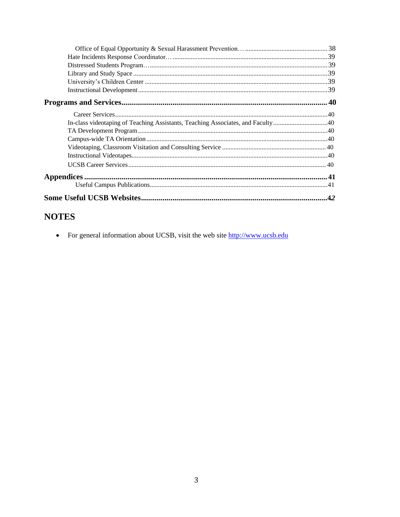| In-class videotaping of Teaching Assistants, Teaching Associates, and Faculty40 |     |
|---------------------------------------------------------------------------------|-----|
|                                                                                 |     |
|                                                                                 |     |
|                                                                                 |     |
|                                                                                 |     |
|                                                                                 |     |
|                                                                                 |     |
|                                                                                 |     |
|                                                                                 | .42 |

# **NOTES**

• For general information about UCSB, visit the web site http://www.ucsb.edu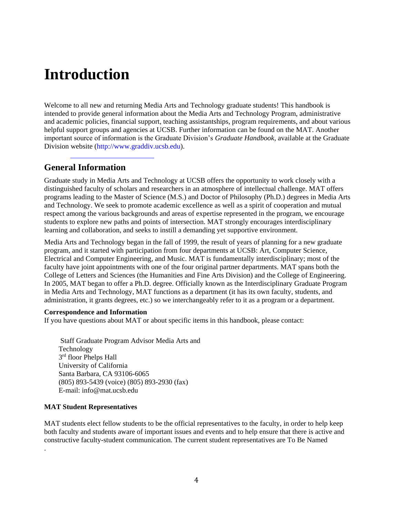# <span id="page-4-0"></span>**Introduction**

Welcome to all new and returning Media Arts and Technology graduate students! This handbook is intended to provide general information about the Media Arts and Technology Program, administrative and academic policies, financial support, teaching assistantships, program requirements, and about various helpful support groups and agencies at UCSB. Further information can be found on the MAT. Another important source of information is the Graduate Division's *Graduate Handbook*, available at the Graduate Division website (http://www.graddiv.ucsb.edu).

# <span id="page-4-1"></span>**General [Information](http://www.graddiv.ucsb.edu/)**

Graduate study in Media Arts and Technology at UCSB offers the opportunity to work closely with a distinguished faculty of scholars and researchers in an atmosphere of intellectual challenge. MAT offers programs leading to the Master of Science (M.S.) and Doctor of Philosophy (Ph.D.) degrees in Media Arts and Technology. We seek to promote academic excellence as well as a spirit of cooperation and mutual respect among the various backgrounds and areas of expertise represented in the program, we encourage students to explore new paths and points of intersection. MAT strongly encourages interdisciplinary learning and collaboration, and seeks to instill a demanding yet supportive environment.

Media Arts and Technology began in the fall of 1999, the result of years of planning for a new graduate program, and it started with participation from four departments at UCSB: Art, Computer Science, Electrical and Computer Engineering, and Music. MAT is fundamentally interdisciplinary; most of the faculty have joint appointments with one of the four original partner departments. MAT spans both the College of Letters and Sciences (the Humanities and Fine Arts Division) and the College of Engineering. In 2005, MAT began to offer a Ph.D. degree. Officially known as the Interdisciplinary Graduate Program in Media Arts and Technology, MAT functions as a department (it has its own faculty, students, and administration, it grants degrees, etc.) so we interchangeably refer to it as a program or a department.

## <span id="page-4-2"></span>**Correspondence and Information**

If you have questions about MAT or about specific items in this handbook, please contact:

Staff Graduate Program Advisor Media Arts and Technology 3<sup>rd</sup> floor Phelps Hall University of California Santa Barbara, CA 93106-6065 (805) 893-5439 (voice) (805) 893-2930 (fax) E-mail: info@mat.ucsb.edu

## **MAT Student Representatives**

.

MAT students elect fellow students to be the official representatives to the faculty, in order to help keep both faculty and students aware of important issues and events and to help ensure that there is active and constructive faculty-student communication. The current student representatives are To Be Named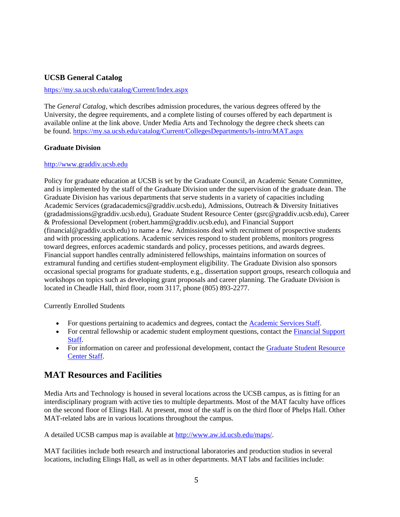## <span id="page-5-0"></span>**UCSB General Catalog**

## <https://my.sa.ucsb.edu/catalog/Current/Index.aspx>

The *General Catalog*, which describes admission procedures, the various degrees offered by the University, the degree requirements, and a complete listing of courses offered by each department is available online at the link above. Under Media Arts and Technology the degree check sheets can be found.<https://my.sa.ucsb.edu/catalog/Current/CollegesDepartments/ls-intro/MAT.aspx>

## <span id="page-5-1"></span>**Graduate Division**

## [http://www.graddiv.ucsb.edu](http://www.graddiv.ucsb.edu/)

Policy for graduate education at UCSB is set by the Graduate Council, an Academic Senate Committee, and is implemented by the staff of the Graduate Division under the supervision of the graduate dean. The Graduate Division has various departments that serve students in a variety of capacities including Academic Services (gradacademics@graddiv.ucsb.edu), Admissions, Outreach & Diversity Initiatives (gradadmissions@graddiv.ucsb.edu), Graduate Student Resource Center (gsrc@graddiv.ucsb.edu), Career & Professional Development (robert.hamm@graddiv.ucsb.edu), and Financial Support (financial@graddiv.ucsb.edu) to name a few. Admissions deal with recruitment of prospective students and with processing applications. Academic services respond to student problems, monitors progress toward degrees, enforces academic standards and policy, processes petitions, and awards degrees. Financial support handles centrally administered fellowships, maintains information on sources of extramural funding and certifies student-employment eligibility. The Graduate Division also sponsors occasional special programs for graduate students, e.g., dissertation support groups, research colloquia and workshops on topics such as developing grant proposals and career planning. The Graduate Division is located in Cheadle Hall, third floor, room 3117, phone (805) 893-2277.

## Currently Enrolled Students

- For questions pertaining to academics and degrees, contact the [Academic Services](http://www.graddiv.ucsb.edu/contact#academic1) Staff.
- For central fellowship or academic student employment questions, contact the [Financial Support](http://www.graddiv.ucsb.edu/contact#financial1) [Staff.](http://www.graddiv.ucsb.edu/contact#financial1)
- For information on career and professional development, contact the [Graduate Student Resource](http://www.graddiv.ucsb.edu/contact#gsrc) [Center Staff.](http://www.graddiv.ucsb.edu/contact#gsrc)

# <span id="page-5-2"></span>**MAT Resources and Facilities**

Media Arts and Technology is housed in several locations across the UCSB campus, as is fitting for an interdisciplinary program with active ties to multiple departments. Most of the MAT faculty have offices on the second floor of Elings Hall. At present, most of the staff is on the third floor of Phelps Hall. Other MAT-related labs are in various locations throughout the campus.

A detailed UCSB campus map is available at [http://www.aw.id.ucsb.edu/maps/.](http://www.aw.id.ucsb.edu/maps/)

MAT facilities include both research and instructional laboratories and production studios in several locations, including Elings Hall, as well as in other departments. MAT labs and facilities include: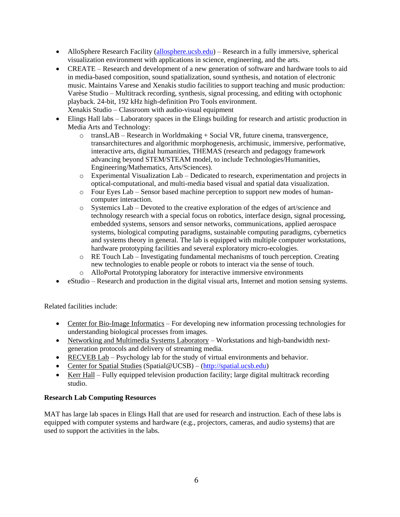- AlloSphere Research Facility [\(allosphere.ucsb.edu\) –](http://allosphere.ucsb.edu/) Research in a fully immersive, spherical visualization environment with applications in science, engineering, and the arts.
- CREATE Research and development of a new generation of software and hardware tools to aid in media-based composition, sound spatialization, sound synthesis, and notation of electronic music. Maintains Varese and Xenakis studio facilities to support teaching and music production: Varèse Studio – Multitrack recording, synthesis, signal processing, and editing with octophonic playback. 24-bit, 192 kHz high-definition Pro Tools environment. Xenakis Studio – Classroom with audio-visual equipment
- Elings Hall labs Laboratory spaces in the Elings building for research and artistic production in Media Arts and Technology:
	- $\circ$  transLAB Research in Worldmaking + Social VR, future cinema, transvergence, transarchitectures and algorithmic morphogenesis, archimusic, immersive, performative, interactive arts, digital humanities, THEMAS (research and pedagogy framework advancing beyond STEM/STEAM model, to include Technologies/Humanities, Engineering/Mathematics, Arts/Sciences).
	- o Experimental Visualization Lab Dedicated to research, experimentation and projects in optical-computational, and multi-media based visual and spatial data visualization.
	- o Four Eyes Lab Sensor based machine perception to support new modes of humancomputer interaction.
	- $\circ$  Systemics Lab Devoted to the creative exploration of the edges of art/science and technology research with a special focus on robotics, interface design, signal processing, embedded systems, sensors and sensor networks, communications, applied aerospace systems, biological computing paradigms, sustainable computing paradigms, cybernetics and systems theory in general. The lab is equipped with multiple computer workstations, hardware prototyping facilities and several exploratory micro-ecologies.
	- o RE Touch Lab Investigating fundamental mechanisms of touch perception. Creating new technologies to enable people or robots to interact via the sense of touch.
	- o AlloPortal Prototyping laboratory for interactive immersive environments
- eStudio Research and production in the digital visual arts, Internet and motion sensing systems.

Related facilities include:

- Center for Bio-Image Informatics For developing new information processing technologies for understanding biological processes from images.
- Networking and Multimedia Systems Laboratory Workstations and high-bandwidth nextgeneration protocols and delivery of streaming media.
- RECVEB Lab Psychology lab for the study of virtual environments and behavior.
- Center for Spatial Studies (Spatial@UCSB) [\(http://spatial.ucsb.edu\)](http://spatial.ucsb.edu/)
- Kerr Hall Fully equipped television production facility; large digital multitrack recording studio.

## **Research Lab Computing Resources**

MAT has large lab spaces in Elings Hall that are used for research and instruction. Each of these labs is equipped with computer systems and hardware (e.g., projectors, cameras, and audio systems) that are used to support the activities in the labs.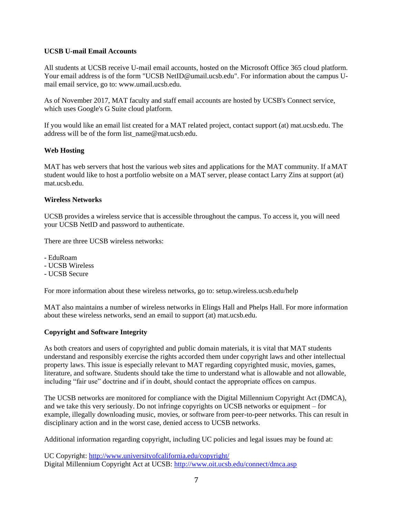## **UCSB U-mail Email Accounts**

All students at UCSB receive U-mail email accounts, hosted on the Microsoft Office 365 cloud platform. Your email address is of the form "UCSB [NetID@umail.ucsb.edu"](mailto:NetID@umail.ucsb.edu). For information about the campus Umail email service, go to: [www.umail.ucsb.edu.](http://www.umail.ucsb.edu/)

As of November 2017, MAT faculty and staff email accounts are hosted by UCSB's Connect service, which uses Google's G Suite cloud platform.

If you would like an email list created for a MAT related project, contact support (at) mat.ucsb.edu. The address will be of the form [list\\_name@mat.ucsb.edu.](mailto:list_name@mat.ucsb.edu)

## **Web Hosting**

MAT has web servers that host the various web sites and applications for the MAT community. If aMAT student would like to host a portfolio website on a MAT server, please contact Larry Zins at support (at) mat.ucsb.edu.

## **Wireless Networks**

UCSB provides a wireless service that is accessible throughout the campus. To access it, you will need your UCSB NetID and password to authenticate.

There are three UCSB wireless networks:

- EduRoam
- UCSB Wireless
- UCSB Secure

For more information about these wireless networks, go to: setup.wireless.ucsb.edu/help

MAT also maintains a number of wireless networks in Elings Hall and Phelps Hall. For more information about these wireless networks, send an email to support (at) mat.ucsb.edu.

## <span id="page-7-0"></span>**Copyright and Software Integrity**

As both creators and users of copyrighted and public domain materials, it is vital that MAT students understand and responsibly exercise the rights accorded them under copyright laws and other intellectual property laws. This issue is especially relevant to MAT regarding copyrighted music, movies, games, literature, and software. Students should take the time to understand what is allowable and not allowable, including "fair use" doctrine and if in doubt, should contact the appropriate offices on campus.

The UCSB networks are monitored for compliance with the Digital Millennium Copyright Act (DMCA), and we take this very seriously. Do not infringe copyrights on UCSB networks or equipment – for example, illegally downloading music, movies, or software from peer-to-peer networks. This can result in disciplinary action and in the worst case, denied access to UCSB networks.

Additional information regarding copyright, including UC policies and legal issues may be found at:

UC Copyright:<http://www.universityofcalifornia.edu/copyright/> Digital Millennium Copyright Act at UCSB:<http://www.oit.ucsb.edu/connect/dmca.asp>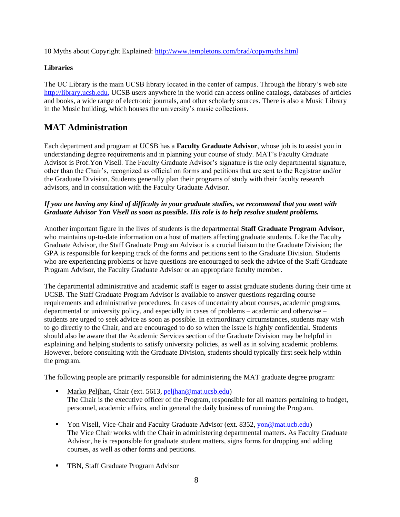10 Myths about Copyright Explained: <http://www.templetons.com/brad/copymyths.html>

## <span id="page-8-0"></span>**Libraries**

The UC Library is the main UCSB library located in the center of campus. Through the library's web site [http://library.ucsb.edu, U](http://library.ucsb.edu/)CSB users anywhere in the world can access online catalogs, databases of articles and books, a wide range of electronic journals, and other scholarly sources. There is also a Music Library in the Music building, which houses the university's music collections.

# <span id="page-8-1"></span>**MAT Administration**

Each department and program at UCSB has a **Faculty Graduate Advisor**, whose job is to assist you in understanding degree requirements and in planning your course of study. MAT's Faculty Graduate Advisor is Prof.Yon Visell. The Faculty Graduate Advisor's signature is the only departmental signature, other than the Chair's, recognized as official on forms and petitions that are sent to the Registrar and/or the Graduate Division. Students generally plan their programs of study with their faculty research advisors, and in consultation with the Faculty Graduate Advisor.

## *If you are having any kind of difficulty in your graduate studies, we recommend that you meet with Graduate Advisor Yon Visell as soon as possible. His role is to help resolve student problems.*

Another important figure in the lives of students is the departmental **Staff Graduate Program Advisor**, who maintains up-to-date information on a host of matters affecting graduate students. Like the Faculty Graduate Advisor, the Staff Graduate Program Advisor is a crucial liaison to the Graduate Division; the GPA is responsible for keeping track of the forms and petitions sent to the Graduate Division. Students who are experiencing problems or have questions are encouraged to seek the advice of the Staff Graduate Program Advisor, the Faculty Graduate Advisor or an appropriate faculty member.

The departmental administrative and academic staff is eager to assist graduate students during their time at UCSB. The Staff Graduate Program Advisor is available to answer questions regarding course requirements and administrative procedures. In cases of uncertainty about courses, academic programs, departmental or university policy, and especially in cases of problems – academic and otherwise – students are urged to seek advice as soon as possible. In extraordinary circumstances, students may wish to go directly to the Chair, and are encouraged to do so when the issue is highly confidential. Students should also be aware that the Academic Services section of the Graduate Division may be helpful in explaining and helping students to satisfy university policies, as well as in solving academic problems. However, before consulting with the Graduate Division, students should typically first seek help within the program.

The following people are primarily responsible [for administering t](mailto:peljhan@mat.ucsb.edu)he MAT graduate degree program:

- Marko Peljhan, Chair (ext. 5613, peljhan@mat.ucsb.edu) The Chair is the executive officer of the Program, responsible for all matters pertaining to budget, personnel, academic affairs, and in general the daily business of running the Program.
- **•** Yon Visell, Vice-Chair and Faculty Graduate Advisor (ext. 8352, [yon@mat.ucb.edu\)](mailto:clang@mat.ucb.edu) The Vice Chair works with the Chair in administering departmental matters. As Faculty Graduate Advisor, he is responsible for graduate student matters, signs forms for dropping and adding courses, as well as other forms and petitions.
- **EVALUATE:** TBN, Staff Graduate Program Advisor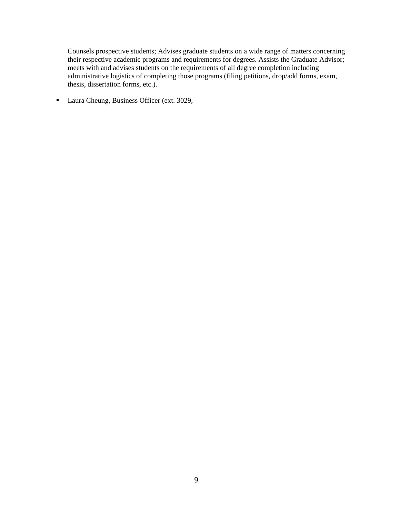Counsels prospective students; Advises graduate students on a wide range of matters concerning their respective academic programs and requirements for degrees. Assists the Graduate Advisor; meets with and advises students on the requirements of all degree completion including administrative logistics of completing those programs (filing petitions, drop/add forms, exam, thesis, dissertation forms, etc.).

■ Laura Cheung, Business Officer (ext. 3029,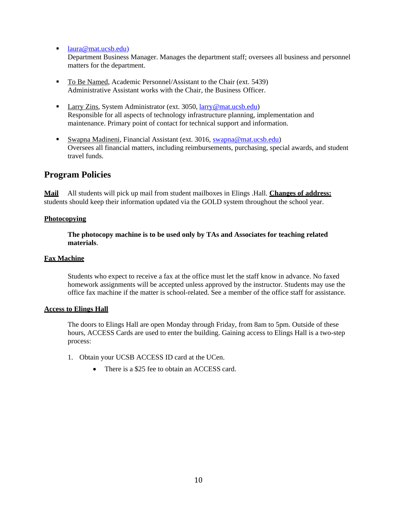■ [laura@mat.ucsb.edu\)](mailto:laura@mat.ucsb.edu)

Department Business Manager. Manages the department staff; oversees all business and personnel matters for the department.

- To Be Named, Academic Personnel/Assistant to the Chair (ext. [5439\)](mailto:lesley@mat.ucsb.edu) Administrative Assistant works with the Chair, the Business Officer.
- Larry Zins, System Administrator (ext. 3050, [larry@mat.ucsb.edu\)](mailto:larry@mat.ucsb.edu) Responsible for all aspects of technology infrastructure planning, implementation and maintenance. Primary point of contact for technical support and information.
- Swapna Madineni, Financial Assistant (ext. 3016, [swapna@mat.ucsb.edu\)](mailto:swapna@mat.ucsb.edu) Oversees all financial matters, including reimbursements, purchasing, special awards, and student travel funds.

## <span id="page-10-0"></span>**Program Policies**

**Mail** All students will pick up mail from student mailboxes in Elings .Hall. **Changes of address:** students should keep their information updated via the GOLD system throughout the school year.

## **Photocopying**

**The photocopy machine is to be used only by TAs and Associates for teaching related materials**.

## **Fax Machine**

Students who expect to receive a fax at the office must let the staff know in advance. No faxed homework assignments will be accepted unless approved by the instructor. Students may use the office fax machine if the matter is school-related. See a member of the office staff for assistance.

## **Access to Elings Hall**

The doors to Elings Hall are open Monday through Friday, from 8am to 5pm. Outside of these hours, ACCESS Cards are used to enter the building. Gaining access to Elings Hall is a two-step process:

- 1. Obtain your UCSB ACCESS ID card at the UCen.
	- There is a \$25 fee to obtain an ACCESS card.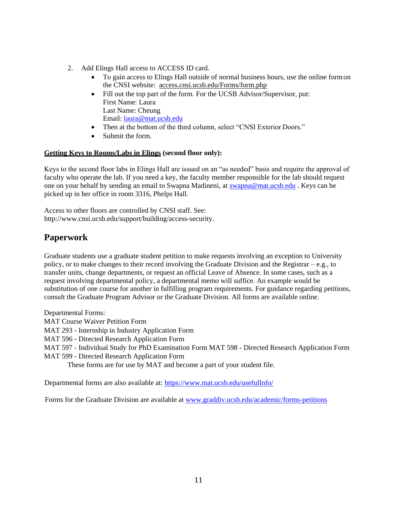- 2. Add Elings Hall access to ACCESS ID card.
	- To gain access to Elings Hall outside of normal business hours, use the online formon the CNSI website: access.cnsi.ucsb.edu/Forms/form.php
	- Fill out the top part of the form. For the UCSB Advisor/Supervisor, put: First Name: Laura Last Name: Cheung Email: [laura@mat.ucsb.edu](mailto:laura@mat.ucsb.edu)
	- Then at the bottom of the third column, select "CNSI Exterior Doors."
	- Submit the form.

## **Getting Keys to Rooms/Labs in Elings (second floor only):**

Keys to the second floor labs in Elings Hall are issued on an "as needed" basis and require the approval of faculty who operate the lab. If you need a key, the faculty member responsible for the lab should request one on your behalf by sending an email to Swapna Madineni, at [swapna@mat.ucsb.edu](mailto:Lesley@mat.ucsb.edu) . Keys can be picked up in her office in room 3316, Phelps Hall.

Access to other floors are controlled by CNSI staff. See: [http://www.cnsi.ucsb.edu/support/building/access-security.](http://www.cnsi.ucsb.edu/support/building/access-security)

## <span id="page-11-0"></span>**Paperwork**

Graduate students use a graduate student petition to make requests involving an exception to University policy, or to make changes to their record involving the Graduate Division and the Registrar – e.g., to transfer units, change departments, or request an official Leave of Absence. In some cases, such as a request involving departmental policy, a departmental memo will suffice. An example would be substitution of one course for another in fulfilling program requirements. For guidance regarding petitions, consult the Graduate Program Advisor or the Graduate Division. All forms are available online.

Departmental Forms: MAT Course Waiver Petition Form MAT 293 - Internship in Industry Application Form MAT 596 - Directed Research Application Form MAT 597 - Individual Study for PhD Examination Form MAT 598 - Directed Research Application Form MAT 599 - Directed Research Application Form These forms are for [use by MAT and become a part of your s](https://www.mat.ucsb.edu/usefulInfo/)tudent file.

Departmental forms are also available at: [https://www.mat.ucsb.edu/usefulInfo/](http://www.mat.ucsb.edu/usefulInfo/)

Forms for the Graduate Division are available at [www.graddiv.ucsb.edu/academic/forms-petitions](http://www.graddiv.ucsb.edu/academic/forms-petitions)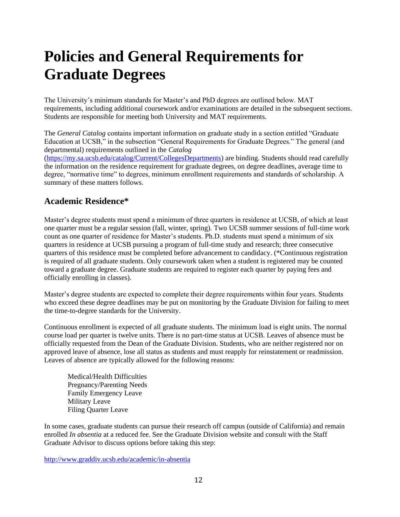# <span id="page-12-0"></span>**Policies and General Requirements for Graduate Degrees**

The University's minimum standards for Master's and PhD degrees are outlined below. MAT requirements, including additional coursework and/or examinations are detailed in the subsequent sections. Students are responsible for meeting both University and MAT requirements.

The *General Catalog* contains important information on graduate study in a section entitled "Graduate Education at UCSB," in the subsection "General Requirements for Graduate Degrees." The general (and departmental) requirements outlined in the *Catalog* 

[\(https://my.sa.ucsb.edu/catalog/Current/CollegesDepartments\)](https://my.sa.ucsb.edu/catalog/Current/CollegesDepartments) are binding. Students should read carefully the information on the residence requirement for graduate degrees, on degree deadlines, average time to degree, "normative time" to degrees, minimum enrollment requirements and standards of scholarship. A summary of these matters follows.

## <span id="page-12-1"></span>**Academic Residence\***

Master's degree students must spend a minimum of three quarters in residence at UCSB, of which at least one quarter must be a regular session (fall, winter, spring). Two UCSB summer sessions of full-time work count as one quarter of residence for Master's students. Ph.D. students must spend a minimum of six quarters in residence at UCSB pursuing a program of full-time study and research; three consecutive quarters of this residence must be completed before advancement to candidacy. (\*Continuous registration is required of all graduate students. Only coursework taken when a student is registered may be counted toward a graduate degree. Graduate students are required to register each quarter by paying fees and officially enrolling in classes).

Master's degree students are expected to complete their degree requirements within four years. Students who exceed these degree deadlines may be put on monitoring by the Graduate Division for failing to meet the time-to-degree standards for the University.

Continuous enrollment is expected of all graduate students. The minimum load is eight units. The normal course load per quarter is twelve units. There is no part-time status at UCSB. Leaves of absence must be officially requested from the Dean of the Graduate Division. Students, who are neither registered nor on approved leave of absence, lose all status as students and must reapply for reinstatement or readmission. Leaves of absence are typically allowed for the following reasons:

Medical/Health Difficulties Pregnancy/Parenting Needs Family Emergency Leave Military Leave Filing Quarter Leave

In some cases, graduate students can pursue their research off campus (outside of California) and remain enrolled *In absentia* at a reduced fee. See the Graduate Division website and consult with the Staff Graduate Advisor to discuss options before taking this step:

<http://www.graddiv.ucsb.edu/academic/in-absentia>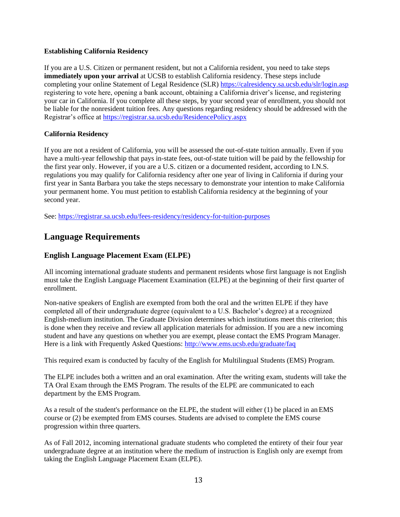## <span id="page-13-0"></span>**Establishing California Residency**

If you are a U.S. Citizen or permanent resident, but not a California resident, you need to take steps **immediately upon your arrival** at UCSB to establish California residency. These steps include completing your online Statement of Legal Residence (SLR)<https://calresidency.sa.ucsb.edu/slr/login.asp> registering to vote here, opening a bank account, obtaining a California driver's license, and registering your car in California. If you complete all these steps, by your second year of enrollment, you should not be liable for the nonresident tuition fees. Any questions regarding residency should be addressed with the Registrar's office at<https://registrar.sa.ucsb.edu/ResidencePolicy.aspx>

## **California Residency**

If you are not a resident of California, you will be assessed the out-of-state tuition annually. Even if you have a multi-year fellowship that pays in-state fees, out-of-state tuition will be paid by the fellowship for the first year only. However, if you are a U.S. citizen or a documented resident, according to I.N.S. regulations you may qualify for California residency after one year of living in California if during your first year in Santa Barbara you take the steps necessary to demonstrate your intention to make California your permanent home. You must petition to establish California residency at the beginning of your second year.

See: [https://registrar.sa.ucsb.edu/fees-residency/residency-for-tuition-purposes](http://registrar.sa.ucsb.edu/fees-residency/residency/residency-for-tuition-purposes)

## <span id="page-13-1"></span>**Language Requirements**

## **English Language Placement Exam (ELPE)**

All incoming international graduate students and permanent residents whose first language is not English must take the English Language Placement Examination (ELPE) at the beginning of their first quarter of enrollment.

Non-native speakers of English are exempted from both the oral and the written ELPE if they have completed all of their undergraduate degree (equivalent to a U.S. Bachelor's degree) at a recognized English-medium institution. The Graduate Division determines which institutions meet this criterion; this is done when they receive and review all application materials for admission. If you are a new incoming student and have any questions on whether you are exempt, please contact the EMS Program Manager. Here is a link with Frequently Asked Questions:<http://www.ems.ucsb.edu/graduate/faq>

This required exam is conducted by faculty of the English for Multilingual Students (EMS) Program.

The ELPE includes both a written and an oral examination. After the writing exam, students will take the TA Oral Exam through the EMS Program. The results of the ELPE are communicated to each department by the EMS Program.

As a result of the student's performance on the ELPE, the student will either (1) be placed in anEMS course or (2) be exempted from EMS courses. Students are advised to complete the EMS course progression within three quarters.

As of Fall 2012, incoming international graduate students who completed the entirety of their four year undergraduate degree at an institution where the medium of instruction is English only are exempt from taking the English Language Placement Exam (ELPE).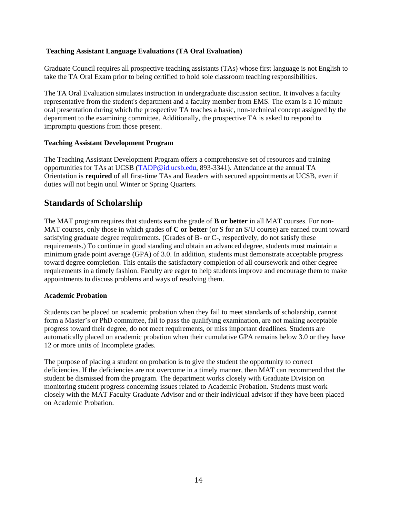## **Teaching Assistant Language Evaluations (TA Oral Evaluation)**

Graduate Council requires all prospective teaching assistants (TAs) whose first language is not English to take the TA Oral Exam prior to being certified to hold sole classroom teaching responsibilities.

The TA Oral Evaluation simulates instruction in [undergraduate discussion section. It i](http://www.ems.ucsb.edu/graduate/faq)nvolves a faculty representative from the student's department and a [faculty member from EMS. The exam is a 10 m](http://www.ems.ucsb.edu/)inute oral presentation during which the prospective TA [teaches a basic, non-technical concept assigned b](http://www.ems.ucsb.edu/)y the department to the examining committee. Additionally, [the prospective TA is asked to respond to](http://www.ems.ucsb.edu/) impromptu questions from those present.

#### **Teaching Assistant Development Program**

The Teaching Assistant Development Program offers a comprehensive set of resources and training opportunities for TAs at UCSB [\(TADP@id.ucsb.edu, 8](mailto:TADP@id.ucsb.edu)93-3341). Attendance at the annual TA Orientation is **required** of all first-time TAs and Readers with secured appointments at UCSB, even if duties will not begin until Winter or Spring Quarters.

## <span id="page-14-0"></span>**Standards of Scholarship**

The MAT program requires that students earn the grade of **B or better** in all MAT courses. For non-MAT courses, only those in which grades of **C or better** (or S for an S/U course) are earned count toward satisfying graduate degree requirements. (Grades of B- or C-, respectively, do not satisfy these requirements.) To continue in good standing and obtain an advanced degree, students must maintain a minimum grade point average (GPA) of 3.0. In addition, students must demonstrate acceptable progress toward degree completion. This entails the satisfactory completion of all coursework and other degree requirements in a timely fashion. Faculty are eager to help students improve and encourage them to make appointments to discuss problems and ways of resolving them.

## <span id="page-14-1"></span>**Academic Probation**

Students can be placed on academic probation when they fail to meet standards of scholarship, cannot form a Master's or PhD committee, fail to pass the qualifying examination, are not making acceptable progress toward their degree, do not meet requirements, or miss important deadlines. Students are automatically placed on academic probation when their cumulative GPA remains below 3.0 or they have 12 or more units of Incomplete grades.

The purpose of placing a student on probation is to give the student the opportunity to correct deficiencies. If the deficiencies are not overcome in a timely manner, then MAT can recommend that the student be dismissed from the program. The department works closely with Graduate Division on monitoring student progress concerning issues related to Academic Probation. Students must work closely with the MAT Faculty Graduate Advisor and or their individual advisor if they have been placed on Academic Probation.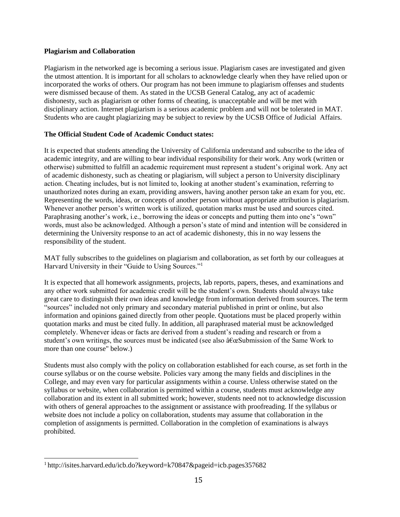## **Plagiarism and Collaboration**

Plagiarism in the networked age is becoming a serious issue. Plagiarism cases are investigated and given the utmost attention. It is important for all scholars to acknowledge clearly when they have relied upon or incorporated the works of others. Our program has not been immune to plagiarism offenses and students were dismissed because of them. As stated in the UCSB General Catalog, any act of academic dishonesty, such as plagiarism or other forms of cheating, is unacceptable and will be met with disciplinary action. Internet plagiarism is a serious academic problem and will not be tolerated in MAT. Students who are caught plagiarizing may be subject to review by the UCSB Office of Judicial Affairs.

## **The Official Student Code of Academic Conduct states:**

It is expected that students attending the University of California understand and subscribe to the idea of academic integrity, and are willing to bear individual responsibility for their work. Any work (written or otherwise) submitted to fulfill an academic requirement must represent a student's original work. Any act of academic dishonesty, such as cheating or plagiarism, will subject a person to University disciplinary action. Cheating includes, but is not limited to, looking at another student's examination, referring to unauthorized notes during an exam, providing answers, having another person take an exam for you, etc. Representing the words, ideas, or concepts of another person without appropriate attribution is plagiarism. Whenever another person's written work is utilized, quotation marks must be used and sources cited. Paraphrasing another's work, i.e., borrowing the ideas or concepts and putting them into one's "own" words, must also be acknowledged. Although a person's state of mind and intention will be considered in determining the University response to an act of academic dishonesty, this in no way lessens the responsibility of the student.

MAT fully subscribes to the guidelines on plagiarism and collaboration, as set forth by our colleagues at Harvard University in their "Guide to Using Sources."<sup>1</sup>

It is expected that all homework assignments, projects, lab reports, papers, theses, and examinations and any other work submitted for academic credit will be the student's own. Students should always take great care to distinguish their own ideas and knowledge from information derived from sources. The term "sources" included not only primary and secondary material published in print or online, but also information and opinions gained directly from other people. Quotations must be placed properly within quotation marks and must be cited fully. In addition, all paraphrased material must be acknowledged completely. Whenever ideas or facts are derived from a student's reading and research or from a student's own writings, the sources must be indicated (see also  $\hat{a}\hat{\epsilon}\infty$ Submission of the Same Work to more than one course" below.)

Students must also comply with the policy on collaboration established for each course, as set forth in the course syllabus or on the course website. Policies vary among the many fields and disciplines in the College, and may even vary for particular assignments within a course. Unless otherwise stated on the syllabus or website, when collaboration is permitted within a course, students must acknowledge any collaboration and its extent in all submitted work; however, students need not to acknowledge discussion with others of general approaches to the assignment or assistance with proofreading. If the syllabus or website does not include a policy on collaboration, students may assume that collaboration in the completion of assignments is permitted. Collaboration in the completion of examinations is always prohibited.

<sup>1</sup> <http://isites.harvard.edu/icb.do?keyword=k70847&pageid=icb.pages357682>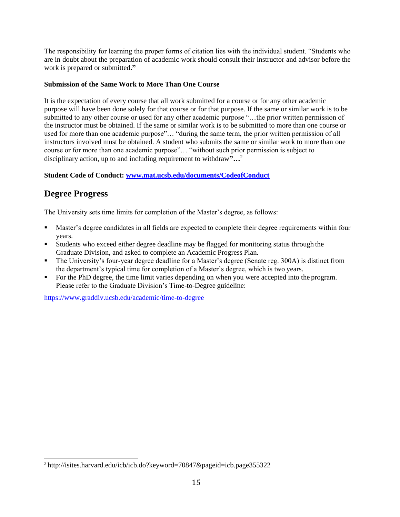The responsibility for learning the proper forms of citation lies with the individual student. "Students who are in doubt about the preparation of academic work should consult their instructor and advisor before the work is prepared or submitted**."**

## **Submission of the Same Work to More Than One Course**

It is the expectation of every course that all work submitted for a course or for any other academic purpose will have been done solely for that course or for that purpose. If the same or similar work is to be submitted to any other course or used for any other academic purpose "...the prior written permission of the instructor must be obtained. If the same or similar work is to be submitted to more than one course or used for more than one academic purpose"… "during the same term, the prior written permission of all instructors involved must be obtained. A student who submits the same or similar work to more than one course or for more than one academic purpose"… "without such prior permission is subject to disciplinary action, up to and including requirement to withdraw**"…**<sup>2</sup>

## **Student Code of Conduct: [www.mat.ucsb.edu/documents/CodeofConduct](http://www.mat.ucsb.edu/documents/CodeofConduct)**

# <span id="page-16-0"></span>**Degree Progress**

The University sets time limits for completion of the Master's degree, as follows:

- **EXECUTE:** Master's degree candidates in all fields are expected to complete their degree requirements within four years.
- Students who exceed either degree deadline may be flagged for monitoring status through the Graduate Division, and asked to complete an Academic Progress Plan.
- **•** The University's four-year degree deadline for a Master's degree (Senate reg. 300A) is distinct from the department's typical time for completion of a Master's degree, which is two years.
- For the PhD degree, the time limit varies depending on when you were accepted into the program. Please refer to the Graduate Division's Time-to-Degree guideline:

https:/[/www.graddiv.ucsb.edu/academic/time-to-degree](http://www.graddiv.ucsb.edu/academic/time-to-degree)

 $2$  <http://isites.harvard.edu/icb/icb.do?keyword=70847&pageid=icb.page355322>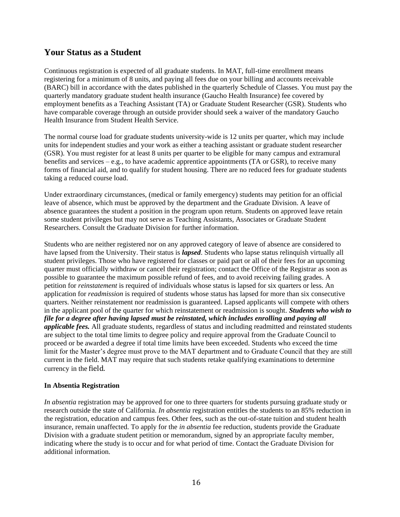## <span id="page-17-0"></span>**Your Status as a Student**

Continuous registration is expected of all graduate students. In MAT, full-time enrollment means registering for a minimum of 8 units, and paying all fees due on your billing and accounts receivable (BARC) bill in accordance with the dates published in the quarterly Schedule of Classes*.* You must pay the quarterly mandatory graduate student health insurance (Gaucho Health Insurance) fee covered by employment benefits as a Teaching Assistant (TA) or Graduate Student Researcher (GSR). Students who have comparable coverage through an outside provider should seek a waiver of the mandatory Gaucho Health Insurance from Student Health Service.

The normal course load for graduate students university-wide is 12 units per quarter, which may include units for independent studies and your work as either a teaching assistant or graduate student researcher (GSR). You must register for at least 8 units per quarter to be eligible for many campus and extramural benefits and services – e.g., to have academic apprentice appointments (TA or GSR), to receive many forms of financial aid, and to qualify for student housing. There are no reduced fees for graduate students taking a reduced course load.

Under extraordinary circumstances, (medical or family emergency) students may petition for an official leave of absence, which must be approved by the department and the Graduate Division. A leave of absence guarantees the student a position in the program upon return. Students on approved leave retain some student privileges but may not serve as Teaching Assistants, Associates or Graduate Student Researchers. Consult the Graduate Division for further information.

Students who are neither registered nor on any approved category of leave of absence are considered to have lapsed from the University. Their status is *lapsed*. Students who lapse status relinquish virtually all student privileges. Those who have registered for classes or paid part or all of their fees for an upcoming quarter must officially withdraw or cancel their registration; contact the Office of the Registrar as soon as possible to guarantee the maximum possible refund of fees, and to avoid receiving failing grades. A petition for *reinstatement* is required of individuals whose status is lapsed for six quarters or less. An application for *readmission* is required of students whose status has lapsed for more than six consecutive quarters. Neither reinstatement nor readmission is guaranteed. Lapsed applicants will compete with others in the applicant pool of the quarter for which reinstatement or readmission is sought. *Students who wish to file for a degree after having lapsed must be reinstated, which includes enrolling and paying all applicable fees.* All graduate students, regardless of status and including readmitted and reinstated students are subject to the total time limits to degree policy and require approval from the Graduate Council to proceed or be awarded a degree if total time limits have been exceeded. Students who exceed the time limit for the Master's degree must prove to the MAT department and to Graduate Council that they are still current in the field. MAT may require that such students retake qualifying examinations to determine currency in the field.

## <span id="page-17-1"></span>**In Absentia Registration**

*In absentia* registration may be approved for one to three quarters for students pursuing graduate study or research outside the state of California. *In absentia* registration entitles the students to an 85% reduction in the registration, education and campus fees. Other fees, such as the out-of-state tuition and student health insurance, remain unaffected. To apply for the *in absentia* fee reduction, students provide the Graduate Division with a graduate student petition or memorandum, signed by an appropriate faculty member, indicating where the study is to occur and for what period of time. Contact the Graduate Division for additional information.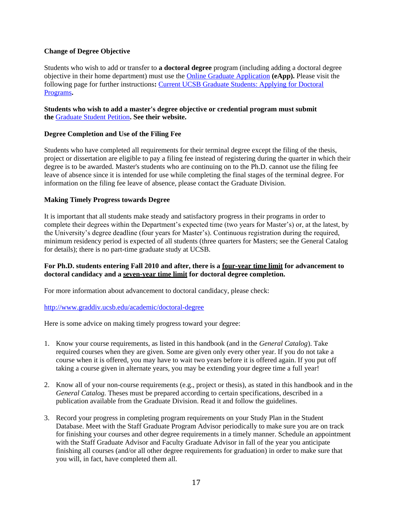## <span id="page-18-0"></span>**Change of Degree Objective**

Students who wish to add or transfer to **a doctoral degree** program (including adding a doctoral degree objective in their home department) must use the [Online Graduate Application](https://www.graddiv.ucsb.edu/eapp/Login.aspx) **(eApp).** Please visit the following page for further instructions**:** [Current UCSB Graduate Students: Applying for Doctoral](https://www.graddiv.ucsb.edu/admissions/how-to-apply/current-ucsb-graduate-students-applying-for-doctoral-programs) [Programs](https://www.graddiv.ucsb.edu/admissions/how-to-apply/current-ucsb-graduate-students-applying-for-doctoral-programs)**.**

## **Students who wish to add a master's degree objective or credential program must submit the** [Graduate Student Petition](http://www.graddiv.ucsb.edu/academic/forms-petitions)**. See their website.**

## <span id="page-18-1"></span>**Degree Completion and Use of the Filing Fee**

Students who have completed all requirements for their terminal degree except the filing of the thesis, project or dissertation are eligible to pay a filing fee instead of registering during the quarter in which their degree is to be awarded. Master's students who are continuing on to the Ph.D. cannot use the filing fee leave of absence since it is intended for use while completing the final stages of the terminal degree. For information on the filing fee leave of absence, please contact the Graduate Division.

## <span id="page-18-2"></span>**Making Timely Progress towards Degree**

It is important that all students make steady and satisfactory progress in their programs in order to complete their degrees within the Department's expected time (two years for Master's) or, at the latest, by the University's degree deadline (four years for Master's). Continuous registration during the required, minimum residency period is expected of all students (three quarters for Masters; see the General Catalog for details); there is no part-time graduate study at UCSB.

## **For Ph.D. students entering Fall 2010 and after, there is a four-year time limit for advancement to doctoral candidacy and a seven-year time limit for doctoral degree completion.**

For more information about advancement to doctoral candidacy, please check:

## <http://www.graddiv.ucsb.edu/academic/doctoral-degree>

Here is some advice on making timely progress toward your degree:

- 1. Know your course requirements, as listed in this handbook (and in the *General Catalog*). Take required courses when they are given. Some are given only every other year. If you do not take a course when it is offered, you may have to wait two years before it is offered again. If you put off taking a course given in alternate years, you may be extending your degree time a full year!
- 2. Know all of your non-course requirements (e.g., project or thesis), as stated in this handbook and in the *General Catalog.* Theses must be prepared according to certain specifications, described in a publication available from the Graduate Division. Read it and follow the guidelines.
- 3. Record your progress in completing program requirements on your Study Plan in the Student Database. Meet with the Staff Graduate Program Advisor periodically to make sure you are on track for finishing your courses and other degree requirements in a timely manner. Schedule an appointment with the Staff Graduate Advisor and Faculty Graduate Advisor in fall of the year you anticipate finishing all courses (and/or all other degree requirements for graduation) in order to make sure that you will, in fact, have completed them all.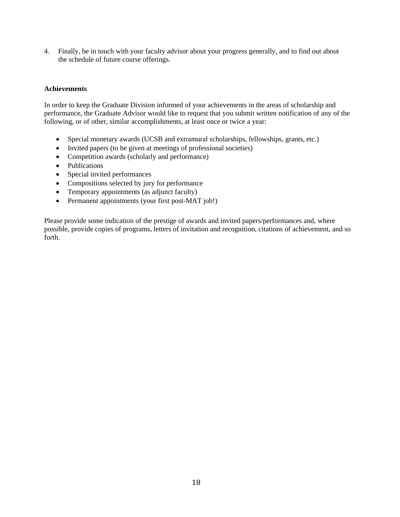4. Finally, be in touch with your faculty advisor about your progress generally, and to find out about the schedule of future course offerings.

## <span id="page-19-0"></span>**Achievements**

In order to keep the Graduate Division informed of your achievements in the areas of scholarship and performance, the Graduate Advisor would like to request that you submit written notification of any of the following, or of other, similar accomplishments, at least once or twice a year:

- Special monetary awards (UCSB and extramural scholarships, fellowships, grants, etc.)
- Invited papers (to be given at meetings of professional societies)
- Competition awards (scholarly and performance)
- Publications
- Special invited performances
- Compositions selected by jury for performance
- Temporary appointments (as adjunct faculty)
- Permanent appointments (your first post-MAT job!)

Please provide some indication of the prestige of awards and invited papers/performances and, where possible, provide copies of programs, letters of invitation and recognition, citations of achievement, and so forth.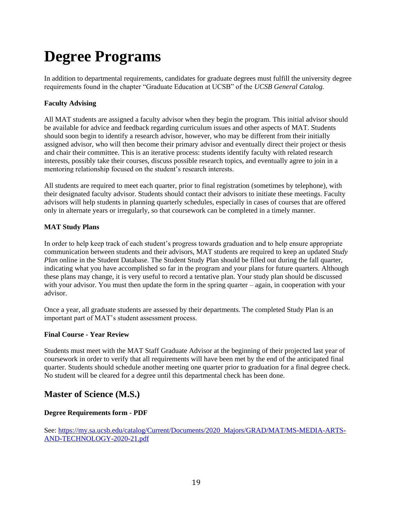# <span id="page-20-0"></span>**Degree Programs**

In addition to departmental requirements, candidates for graduate degrees must fulfill the university degree requirements found in the chapter "Graduate Education at UCSB" of the *UCSB General Catalog.*

## <span id="page-20-1"></span>**Faculty Advising**

All MAT students are assigned a faculty advisor when they begin the program. This initial advisor should be available for advice and feedback regarding curriculum issues and other aspects of MAT. Students should soon begin to identify a research advisor, however, who may be different from their initially assigned advisor, who will then become their primary advisor and eventually direct their project or thesis and chair their committee. This is an iterative process: students identify faculty with related research interests, possibly take their courses, discuss possible research topics, and eventually agree to join in a mentoring relationship focused on the student's research interests.

All students are required to meet each quarter, prior to final registration (sometimes by telephone), with their designated faculty advisor. Students should contact their advisors to initiate these meetings. Faculty advisors will help students in planning quarterly schedules, especially in cases of courses that are offered only in alternate years or irregularly, so that coursework can be completed in a timely manner.

## <span id="page-20-2"></span>**MAT Study Plans**

In order to help keep track of each student's progress towards graduation and to help ensure appropriate communication between students and their advisors, MAT students are required to keep an updated *Study Plan* online in the Student Database. The Student Study Plan should be filled out during the fall quarter, indicating what you have accomplished so far in the program and your plans for future quarters. Although these plans may change, it is very useful to record a tentative plan. Your study plan should be discussed with your advisor. You must then update the form in the spring quarter – again, in cooperation with your advisor.

Once a year, all graduate students are assessed by their departments. The completed Study Plan is an important part of MAT's student assessment process.

## <span id="page-20-3"></span>**Final Course - Year Review**

Students must meet with the MAT Staff Graduate Advisor at the beginning of their projected last year of coursework in order to verify that all requirements will have been met by the end of the anticipated final quarter. Students should schedule another meeting one quarter prior to graduation for a final degree check. No student will be cleared for a degree until this departmental check has been done.

# <span id="page-20-4"></span>**Master of Science (M.S.)**

## **[Degree Requirements form -](https://my.sa.ucsb.edu/catalog/Current/Documents/2017_Majors/GRAD/MAT/MS-MEDIA-ARTS-AND-TECHNOLOGY-2017-18.pdf) PDF**

See: [https://my.sa.ucsb.edu/catalog/Current/Documents/2020\\_Majors/GRAD/MAT/MS-MEDIA-ARTS-](https://my.sa.ucsb.edu/catalog/Current/Documents/2020_Majors/GRAD/MAT/MS-MEDIA-ARTS-AND-TECHNOLOGY-2020-21.pdf)[AND-TECHNOLOGY-2020-21.pdf](https://my.sa.ucsb.edu/catalog/Current/Documents/2020_Majors/GRAD/MAT/MS-MEDIA-ARTS-AND-TECHNOLOGY-2020-21.pdf)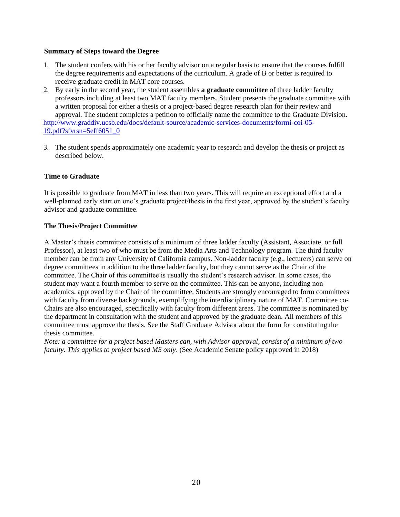#### <span id="page-21-0"></span>**Summary of Steps toward the Degree**

- 1. The student confers with his or her faculty advisor on a regular basis to ensure that the courses fulfill the degree requirements and expectations of the curriculum. A grade of B or better is required to receive graduate credit in MAT core courses.
- 2. By early in the second year, the student assembles **a graduate committee** of three ladder faculty professors including at least two MAT faculty members. Student presents the graduate committee with a written proposal for either a thesis or a project-based degree research plan for their review and approval. The student completes a petition to officially name the committee to the Graduate Division. [http://www.graddiv.ucsb.edu/docs/default-source/academic-services-documents/formi-coi-05-](http://www.graddiv.ucsb.edu/docs/default-source/academic-services-documents/formi-coi-05-19.pdf?sfvrsn=5eff6051_0) [19.pdf?sfvrsn=5eff6051\\_0](http://www.graddiv.ucsb.edu/docs/default-source/academic-services-documents/formi-coi-05-19.pdf?sfvrsn=5eff6051_0)
- 3. The student spends approximately one academic year to research and develop the thesis or project as described below.

## <span id="page-21-1"></span>**Time to Graduate**

It is possible to graduate from MAT in less than two years. This will require an exceptional effort and a well-planned early start on one's graduate project/thesis in the first year, approved by the student's faculty advisor and graduate committee.

## <span id="page-21-2"></span>**The Thesis/Project Committee**

A Master's thesis committee consists of a minimum of three ladder faculty (Assistant, Associate, or full Professor), at least two of who must be from the Media Arts and Technology program. The third faculty member can be from any University of California campus. Non-ladder faculty (e.g., lecturers) can serve on degree committees in addition to the three ladder faculty, but they cannot serve as the Chair of the committee. The Chair of this committee is usually the student's research advisor. In some cases, the student may want a fourth member to serve on the committee. This can be anyone, including nonacademics, approved by the Chair of the committee. Students are strongly encouraged to form committees with faculty from diverse backgrounds, exemplifying the interdisciplinary nature of MAT. Committee co-Chairs are also encouraged, specifically with faculty from different areas. The committee is nominated by the department in consultation with the student and approved by the graduate dean. All members of this committee must approve the thesis. See the Staff Graduate Advisor about the form for constituting the thesis committee.

*Note: a committee for a project based Masters can, with Advisor approval, consist of a minimum of two faculty. This applies to project based MS only*. (See Academic Senate policy approved in 2018)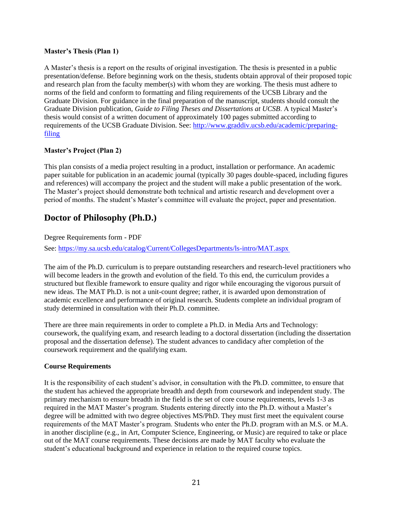## <span id="page-22-0"></span>**Master's Thesis (Plan 1)**

A Master's thesis is a report on the results of original investigation. The thesis is presented in a public presentation/defense. Before beginning work on the thesis, students obtain approval of their proposed topic and research plan from the faculty member(s) with whom they are working. The thesis must adhere to norms of the field and conform to formatting and filing requirements of the UCSB Library and the Graduate Division. For guidance in the final preparation of the manuscript, students should consult the Graduate Division publication, *Guide to Filing Theses and Dissertations at UCSB*. A typical Master's thesis would consist of a written document of approximately 100 pages submitted according to requirements of the UCSB Graduate Division. See: [http://www.graddiv.ucsb.edu/academic/preparing](http://www.graddiv.ucsb.edu/academic/preparing-filing)[filing](http://www.graddiv.ucsb.edu/academic/preparing-filing)

## <span id="page-22-1"></span>**Master's Project (Plan 2)**

This plan consists of a media project resulting in a product, installation or performance. An academic paper suitable for publication in an academic journal (typically 30 pages double-spaced, including figures and references) will accompany the project and the student will make a public presentation of the work. The Master's project should demonstrate both technical and artistic research and development over a period of months. The student's Master's committee will evaluate the project, paper and presentation.

# <span id="page-22-2"></span>**Doctor of Philosophy (Ph.D.)**

[Degree Requirements form -](https://my.sa.ucsb.edu/catalog/Current/Documents/2017_Majors/GRAD/MAT/PHD-MEDIA-ARTS-AND-TECHNOLOGY-2017-18.pdf) PDF

See:<https://my.sa.ucsb.edu/catalog/Current/CollegesDepartments/ls-intro/MAT.aspx>

The aim of the Ph.D. curriculum is to prepare outstanding researchers and research-level practitioners who will become leaders in the growth and evolution of the field. To this end, the curriculum provides a structured but flexible framework to ensure quality and rigor while encouraging the vigorous pursuit of new ideas. The MAT Ph.D. is not a unit-count degree; rather, it is awarded upon demonstration of academic excellence and performance of original research. Students complete an individual program of study determined in consultation with their Ph.D. committee.

There are three main requirements in order to complete a Ph.D. in Media Arts and Technology: coursework, the qualifying exam, and research leading to a doctoral dissertation (including the dissertation proposal and the dissertation defense). The student advances to candidacy after completion of the coursework requirement and the qualifying exam.

## <span id="page-22-3"></span>**Course Requirements**

It is the responsibility of each student's advisor, in consultation with the Ph.D. committee, to ensure that the student has achieved the appropriate breadth and depth from coursework and independent study. The primary mechanism to ensure breadth in the field is the set of core course requirements, levels 1-3 as required in the MAT Master's program. Students entering directly into the Ph.D. without a Master's degree will be admitted with two degree objectives MS/PhD. They must first meet the equivalent course requirements of the MAT Master's program. Students who enter the Ph.D. program with an M.S. or M.A. in another discipline (e.g., in Art, Computer Science, Engineering, or Music) are required to take or place out of the MAT course requirements. These decisions are made by MAT faculty who evaluate the student's educational background and experience in relation to the required course topics.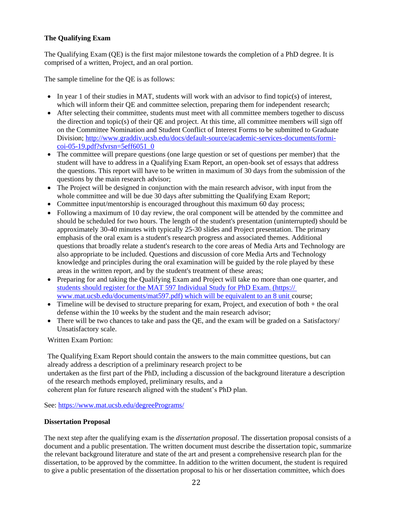## <span id="page-23-0"></span>**The Qualifying Exam**

The Qualifying Exam (QE) is the first major milestone towards the completion of a PhD degree. It is comprised of a written, Project, and an oral portion.

The sample timeline for the QE is as follows:

- In year 1 of their studies in MAT, students will work with an advisor to find topic(s) of interest, which will inform their QE and committee selection, preparing them for independent research;
- After selecting their committee, students must meet with all committee members together to discuss the direction and topic(s) of their QE and project. At this time, all committee members will sign off on the Committee Nomination and Student Conflict of Interest Forms to be submitted to Graduate Division; [http://www.graddiv.ucsb.edu/docs/default-source/academic-services-documents/formi](http://www.graddiv.ucsb.edu/docs/default-source/academic-services-documents/formi-coi-05-19.pdf?sfvrsn=5eff6051_0)[coi-05-19.pdf?sfvrsn=5eff6051\\_0](http://www.graddiv.ucsb.edu/docs/default-source/academic-services-documents/formi-coi-05-19.pdf?sfvrsn=5eff6051_0)
- The committee will prepare questions (one large question or set of questions per member) that the student will have to address in a Qualifying Exam Report, an open-book set of essays that address the questions. This report will have to be written in maximum of 30 days from the submission of the questions by the main research advisor;
- The Project will be designed in conjunction with the main research advisor, with input from the whole committee and will be due 30 days after submitting the Qualifying Exam Report;
- Committee input/mentorship is encouraged throughout this maximum 60 day process;
- Following a maximum of 10 day review, the oral component will be attended by the committee and should be scheduled for two hours. The length of the student's presentation (uninterrupted) should be approximately 30-40 minutes with typically 25-30 slides and Project presentation. The primary emphasis of the oral exam is a student's research progress and associated themes. Additional questions that broadly relate a student's research to the core areas of Media Arts and Technology are also appropriate to be included. Questions and discussion of core Media Arts and Technology knowledge and principles during the oral examination will be guided by the role played by these areas in the written report, and by the student's treatment of these areas;
- Preparing for and taking the Qualifying Exam and Project will take no more than one quarter, and students should [register for the MAT 597 Individual Study for PhD Exam. \(https://](students%20should%20register%20for%20the%20MAT%20597%20Individual%20Study%20for%20PhD%20Exam.%20(https:/%20www.mat.ucsb.edu/documents/mat597.pdf)%20which%20will%20be%20equivalent%20to%20an%208%20unit)  [www.mat.ucsb.edu/documents/mat597.pdf\) which will be equivalent to an 8 unit](students%20should%20register%20for%20the%20MAT%20597%20Individual%20Study%20for%20PhD%20Exam.%20(https:/%20www.mat.ucsb.edu/documents/mat597.pdf)%20which%20will%20be%20equivalent%20to%20an%208%20unit) course;
- Timeline will be devised to structure preparing for exam, Project, and execution of both + the oral defense within the 10 weeks by the student and the main research advisor;
- There will be two chances to take and pass the OE, and the exam will be graded on a Satisfactory/ Unsatisfactory scale.

Written Exam Portion:

The Qualifying Exam Report should contain the answers to the main committee questions, but can already address a description of a preliminary research project to be undertaken as the first part of the PhD, including a discussion of the background literature a description of the research methods employed, preliminary results, and a coherent plan for future research aligned with the student's PhD plan.

See: [https://www.mat.ucsb.edu/degreePrograms/](http://www.mat.ucsb.edu/degreePrograms/)

## <span id="page-23-1"></span>**Dissertation Proposal**

The next step after the qualifying exam is the *[dissertation proposal](https://www.mat.ucsb.edu/degreePrograms/)*. The dissertation proposal consists of a document and a public presentation. The written document must describe the dissertation topic, summarize the relevant background literature and state of the art and present a comprehensive research plan for the dissertation, to be approved by the committee. In addition to the written document, the student is required to give a public presentation of the dissertation proposal to his or her dissertation committee, which does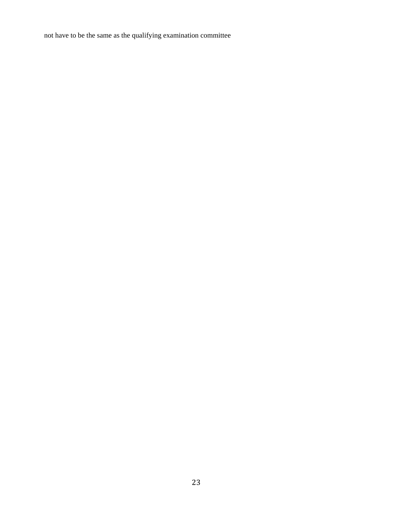not have to be the same as the qualifying examination committee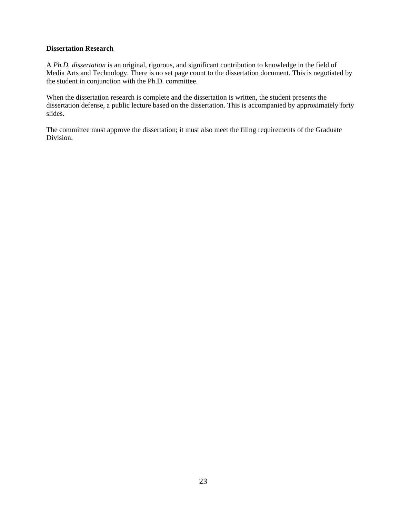## <span id="page-25-0"></span>**Dissertation Research**

A *Ph.D. dissertation* is an original, rigorous, and significant contribution to knowledge in the field of Media Arts and Technology. There is no set page count to the dissertation document. This is negotiated by the student in conjunction with the Ph.D. committee.

When the dissertation research is complete and the dissertation is written, the student presents the dissertation defense, a public lecture based on the dissertation. This is accompanied by approximately forty slides.

The committee must approve the dissertation; it must also meet the filing requirements of the Graduate Division.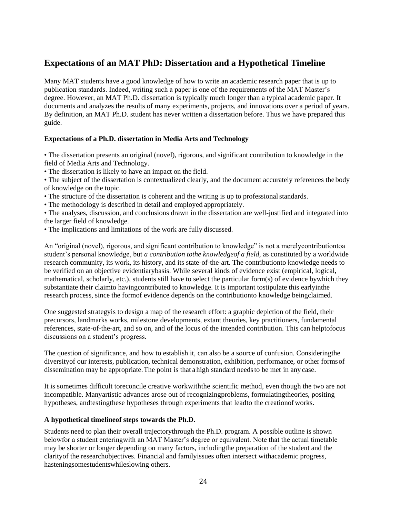## **Expectations of an MAT PhD: Dissertation and a Hypothetical Timeline**

Many MAT students have a good knowledge of how to write an academic research paper that is up to publication standards. Indeed, writing such a paper is one of the requirements of the MAT Master's degree. However, an MAT Ph.D. dissertation is typically much longer than a typical academic paper. It documents and analyzes the results of many experiments, projects, and innovations over a period of years. By definition, an MAT Ph.D. student has never written a dissertation before. Thus we have prepared this guide.

## **Expectations of a Ph.D. dissertation in Media Arts and Technology**

• The dissertation presents an original (novel), rigorous, and significant contribution to knowledge in the field of Media Arts and Technology.

• The dissertation is likely to have an impact on the field.

• The subject of the dissertation is contextualized clearly, and the document accurately references the body of knowledge on the topic.

• The structure of the dissertation is coherent and the writing is up to professional standards.

• The methodology is described in detail and employed appropriately.

• The analyses, discussion, and conclusions drawn in the dissertation are well-justified and integrated into the larger field of knowledge.

• The implications and limitations of the work are fully discussed.

An "original (novel), rigorous, and significant contribution to knowledge" is not a merelycontributiontoa student's personal knowledge, but *a contribution tothe knowledgeof a field,* as constituted by a worldwide research community, its work, its history, and its state-of-the-art. The contributionto knowledge needs to be verified on an objective evidentiarybasis. While several kinds of evidence exist (empirical, logical, mathematical, scholarly, etc.), students still have to select the particular form(s) of evidence bywhich they substantiate their claimto havingcontributed to knowledge. It is important tostipulate this earlyinthe research process, since the formof evidence depends on the contributionto knowledge beingclaimed.

One suggested strategyis to design a map of the research effort: a graphic depiction of the field, their precursors, landmarks works, milestone developments, extant theories, key practitioners, fundamental references, state-of-the-art, and so on, and of the locus of the intended contribution. This can helptofocus discussions on a student's progress.

The question of significance, and how to establish it, can also be a source of confusion. Consideringthe diversityof our interests, publication, technical demonstration, exhibition, performance, or other formsof dissemination may be appropriate.The point is that a high standard needsto be met in any case.

It is sometimes difficult toreconcile creative workwiththe scientific method, even though the two are not incompatible. Manyartistic advances arose out of recognizingproblems, formulatingtheories, positing hypotheses, andtestingthese hypotheses through experiments that leadto the creationof works.

## **A hypothetical timelineof steps towards the Ph.D.**

Students need to plan their overall trajectorythrough the Ph.D. program. A possible outline is shown belowfor a student enteringwith an MAT Master's degree or equivalent. Note that the actual timetable may be shorter or longer depending on many factors, includingthe preparation of the student and the clarityof the researchobjectives. Financial and familyissues often intersect withacademic progress, hasteningsomestudentswhileslowing others.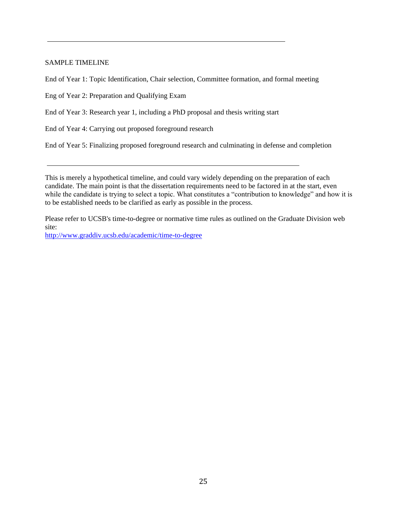## <span id="page-27-0"></span>SAMPLE TIMELINE

End of Year 1: Topic Identification, Chair selection, Committee formation, and formal meeting

Eng of Year 2: Preparation and Qualifying Exam

End of Year 3: Research year 1, including a PhD proposal and thesis writing start

End of Year 4: Carrying out proposed foreground research

End of Year 5: Finalizing proposed foreground research and culminating in defense and completion

This is merely a hypothetical timeline, and could vary widely depending on the preparation of each candidate. The main point is that the dissertation requirements need to be factored in at the start, even while the candidate is trying to select a topic. What constitutes a "contribution to knowledge" and how it is to be established needs to be clarified as early as possible in the process.

Please refer to UCSB's time-to-degree or normative time rules as outlined on the Graduate Division web site:

[http://www.graddiv.ucsb.edu/academic/time-to-degree](#page-27-0)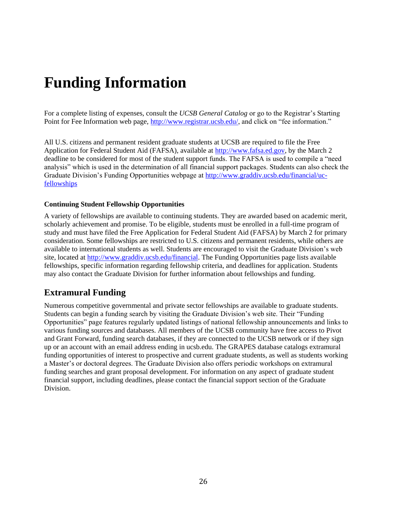# <span id="page-28-0"></span>**Funding Information**

For a complete listing of expenses, consult the *UCSB General Catalog* or go to the Registrar's Starting Point for Fee Information web page, [http://www.registrar.ucsb.edu/,](http://www.registrar.ucsb.edu/) and click on "fee information."

All U.S. citizens and permanent resident graduate students at UCSB are required to file the Free Application for Federal Student Aid (FAFSA), available at [http://www.fafsa.ed.gov, b](http://www.fafsa.ed.gov/)y the March 2 deadline to be considered for most of the student support funds. The FAFSA is used to compile a "need analysis" which is used in the determination of all financial support packages. Students can also check the Graduate Division's Funding Opportunities webpage at [http://www.graddiv.ucsb.edu/financial/uc](http://www.graddiv.ucsb.edu/financial/uc-)fellowships

#### **Continuing Student Fellowship Opportunities**

[A variety of f](http://www.graddiv.ucsb.edu/financial/uc-fellowships)ellowships are available to continuing students. They are awarded based on academic merit, scholarly achievement and promise. To be eligible, students must be enrolled in a full-time program of study and must have filed the Free Application for Federal Student Aid (FAFSA) by March 2 for primary consideration. Some fellowships are restricted to U.S. citizens and permanent residents, while others are [available to international students as well. Students are e](http://www.graddiv.ucsb.edu/financial/uc-fellowships)ncouraged to visit the Graduate Division's web site, located at [http://www.graddiv.ucsb.edu/financial. T](http://www.graddiv.ucsb.edu/financial)he Funding Opportunities page lists available fellowships, specific information regarding fellowship criteria, and deadlines for application. Students may also contact the Graduate Division for further information about fellowships and funding.

## <span id="page-28-1"></span>**Extramural Funding**

Numerous competitive governmental and private sector fellowships are available to graduate students. Students can begin a funding search by visiting the Graduate Division's web site. Their "Funding Opportunities" page features regularly updated listings of national fellowship announcements and links to various funding sources and databases. All members of the UCSB community have free access to Pivot and Grant Forward, funding search databases, if they are connected to the UCSB network or if they sign up or an account with an email address ending in ucsb.edu. The GRAPES database catalogs extramural funding opportunities of interest to prospective and current graduate students, as well as students working a Master's or doctoral degrees. The Graduate Division also offers periodic workshops on extramural funding searches and grant proposal development. For information on any aspect of graduate student financial support, including deadlines, please contact the financial support section of the Graduate Division.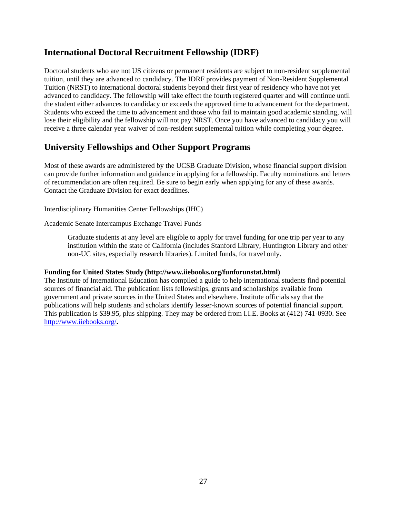# **International Doctoral Recruitment Fellowship (IDRF)**

Doctoral students who are not US citizens or permanent residents are subject to non-resident supplemental tuition, until they are advanced to candidacy. The IDRF provides payment of Non-Resident Supplemental Tuition (NRST) to international doctoral students beyond their first year of residency who have not yet advanced to candidacy. The fellowship will take effect the fourth registered quarter and will continue until the student either advances to candidacy or exceeds the approved time to advancement for the department. Students who exceed the time to advancement and those who fail to maintain good academic standing, will lose their eligibility and the fellowship will not pay NRST. Once you have advanced to candidacy you will receive a three calendar year waiver of non-resident supplemental tuition while completing your degree.

# <span id="page-29-0"></span>**University Fellowships and Other Support Programs**

Most of these awards are administered by the UCSB Graduate Division, whose financial support division can provide further information and guidance in applying for a fellowship. Faculty nominations and letters of recommendation are often required. Be sure to begin early when applying for any of these awards. Contact the Graduate Division for exact deadlines.

## Interdisciplinary Humanities Center Fellowships (IHC)

#### Academic Senate Intercampus Exchange Travel Funds

Graduate students at any level are eligible to apply for travel funding for one trip per year to any institution within the state of California (includes Stanford Library, Huntington Library and other non-UC sites, especially research libraries). Limited funds, for travel only.

## **Funding for United States Study [\(http://www.iiebooks.org/funforunstat.html\)](http://www.iiebooks.org/funforunstat.html))**

The Institute of International Education has compiled a guide to help international students find potential sources of financial aid. The publication lists fellowships, grants and scholarships available from government and private sources in the United States and elsewhere. Institute officials say that the publications will help students and scholars identify lesser-known sources of potential financial support. This publication is \$39.95, plus shipping. They may be ordered from I.I.E. Books at (412) 741-0930. See <http://www.iiebooks.org/>**.**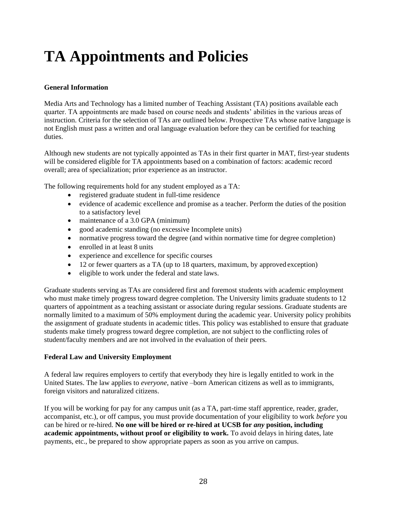# <span id="page-30-0"></span>**TA Appointments and Policies**

## <span id="page-30-1"></span>**General Information**

Media Arts and Technology has a limited number of Teaching Assistant (TA) positions available each quarter. TA appointments are made based on course needs and students' abilities in the various areas of instruction. Criteria for the selection of TAs are outlined below. Prospective TAs whose native language is not English must pass a written and oral language evaluation before they can be certified for teaching duties.

Although new students are not typically appointed as TAs in their first quarter in MAT, first-year students will be considered eligible for TA appointments based on a combination of factors: academic record overall; area of specialization; prior experience as an instructor.

The following requirements hold for any student employed as a TA:

- registered graduate student in full-time residence
- evidence of academic excellence and promise as a teacher. Perform the duties of the position to a satisfactory level
- maintenance of a 3.0 GPA (minimum)
- good academic standing (no excessive Incomplete units)
- normative progress toward the degree (and within normative time for degree completion)
- enrolled in at least 8 units
- experience and excellence for specific courses
- 12 or fewer quarters as a TA (up to 18 quarters, maximum, by approved exception)
- eligible to work under the federal and state laws.

Graduate students serving as TAs are considered first and foremost students with academic employment who must make timely progress toward degree completion. The University limits graduate students to 12 quarters of appointment as a teaching assistant or associate during regular sessions. Graduate students are normally limited to a maximum of 50% employment during the academic year. University policy prohibits the assignment of graduate students in academic titles. This policy was established to ensure that graduate students make timely progress toward degree completion, are not subject to the conflicting roles of student/faculty members and are not involved in the evaluation of their peers.

## **Federal Law and University Employment**

A federal law requires employers to certify that everybody they hire is legally entitled to work in the United States. The law applies to *everyone*, native –born American citizens as well as to immigrants, foreign visitors and naturalized citizens.

If you will be working for pay for any campus unit (as a TA, part-time staff apprentice, reader, grader, accompanist, etc.), or off campus, you must provide documentation of your eligibility to work *before* you can be hired or re-hired. **No one will be hired or re-hired at UCSB for** *any* **position, including academic appointments, without proof or eligibility to work.** To avoid delays in hiring dates, late payments, etc., be prepared to show appropriate papers as soon as you arrive on campus.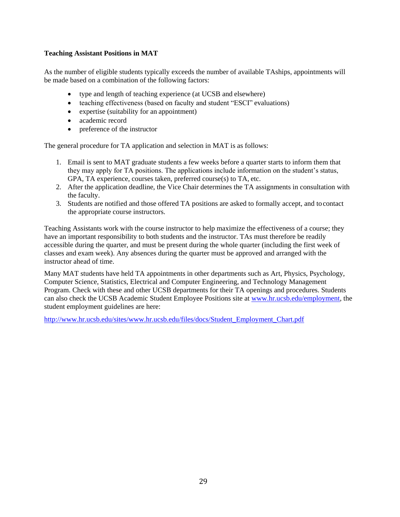## <span id="page-31-0"></span>**Teaching Assistant Positions in MAT**

As the number of eligible students typically exceeds the number of available TAships, appointments will be made based on a combination of the following factors:

- type and length of teaching experience (at UCSB and elsewhere)
- teaching effectiveness (based on faculty and student "ESCI" evaluations)
- expertise (suitability for an appointment)
- academic record
- preference of the instructor

The general procedure for TA application and selection in MAT is as follows:

- 1. Email is sent to MAT graduate students a few weeks before a quarter starts to inform them that they may apply for TA positions. The applications include information on the student's status, GPA, TA experience, courses taken, preferred course(s) to TA, etc.
- 2. After the application deadline, the Vice Chair determines the TA assignments in consultation with the faculty.
- 3. Students are notified and those offered TA positions are asked to formally accept, and to contact the appropriate course instructors.

Teaching Assistants work with the course instructor to help maximize the effectiveness of a course; they have an important responsibility to both students and the instructor. TAs must therefore be readily accessible during the quarter, and must be present during the whole quarter (including the first week of classes and exam week). Any absences during the quarter must be approved and arranged with the instructor ahead of time.

Many MAT students have held TA appointments in other departments such as Art, Physics, Psychology, Computer Science, Statistics, Electrical and Computer Engineering, and Technology Management Program. Check with these and other UCSB departments for their TA openings and procedures. Students can also check the UCSB Academic Student Employee Positions site at [www.hr.ucsb.edu/employment, t](http://www.hr.ucsb.edu/employment)he student employment guidelines are here:

[http://www.hr.ucsb.edu/sites/www.hr.ucsb.edu/files/docs/Student\\_Employment\\_Chart.pdf](https://www.hr.ucsb.edu/sites/www.hr.ucsb.edu/files/docs/Student_Employment_Chart.pdf)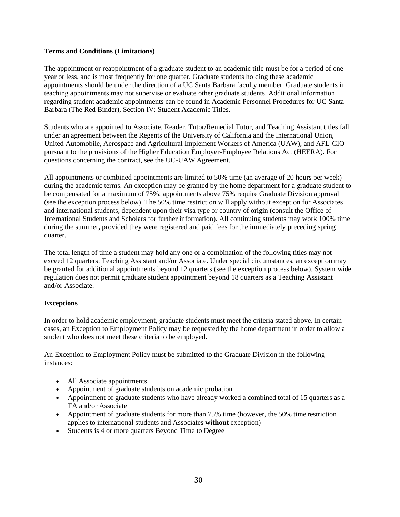## <span id="page-32-0"></span>**[Terms and Conditions \(Limitations\)](http://www.hr.ucsb.edu/sites/www.hr.ucsb.edu/files/docs/Student_Employment_Chart.pdf)**

The appointment or reappointment of a graduate student to an academic title must be for a period of one year or less, and is most frequently for one quarter. Graduate students holding these academic appointments should be under the direction of a UC Santa Barbara faculty member. Graduate students in teaching appointments may not supervise or evaluate other graduate students. Additional information regarding student academic appointments can be found in Academic Personnel Procedures for UC Santa Barbara (The Red Binder), Section IV: Student Academic Titles.

[Students who are appointed t](https://ap.ucsb.edu/policies.and.procedures/red.binder/table.of.contents/)o Associate, Reader, Tutor/Remedial Tutor, and Teaching Assistant titles fall [under an agreement between t](https://ap.ucsb.edu/policies.and.procedures/red.binder/table.of.contents/)he Regents of the University of California and the International Union, United Automobile, Aerospace and Agricultural Implement Workers of America (UAW), and AFL-CIO pursuant to the provisions of the Higher Education Employer-Employee Relations Act (HEERA). For questions concerning the contract, see the UC-UAW Agreement.

All appointments or combined appointments [are limited to 50% t](http://ucnet.universityofcalifornia.edu/labor/bargaining-units/bx/contract.html)ime (an average of 20 hours per week) during the academic terms. An exception [may be granted by the h](http://ucnet.universityofcalifornia.edu/labor/bargaining-units/bx/contract.html)ome department for a graduate student to be compensated for a maximum of 75%; appointments above 75% require Graduate Division approval (see the exception process below). The 50% time restriction will apply without exception for Associates and international students, dependent upon their visa type or country of origin (consult the Office of International Students and Scholars for further information). All continuing students may work 100% time during the summer**,** provided they were registered and paid fees for the immediately [preceding spring](http://oiss.sa.ucsb.edu/) [quarter.](http://oiss.sa.ucsb.edu/)

The total length of time a student may hold any one or a combination of the following titles may not exceed 12 quarters: Teaching Assistant and/or Associate. Under special circumstances, an exception may be granted for additional appointments beyond 12 quarters (see the exception process below). System wide regulation does not permit graduate student appointment beyond 18 quarters as a Teaching Assistant and/or Associate.

## <span id="page-32-1"></span>**Exceptions**

In order to hold academic employment, graduate students must meet the criteria stated above. In certain cases, an Exception to Employment Policy may be requested by the home department in order to allow a student who does not meet these criteria to be employed.

An Exception to Employment Policy must be submitted to the Graduate Division in the following instances:

- All Associate appointments
- Appointment of graduate students on academic probation
- Appointment of graduate students who have already worked a combined total of 15 quarters as a TA and/or Associate
- Appointment of graduate students for more than 75% time (however, the 50% time restriction applies to international students and Associates **without** exception)
- Students is 4 or more quarters Beyond Time to Degree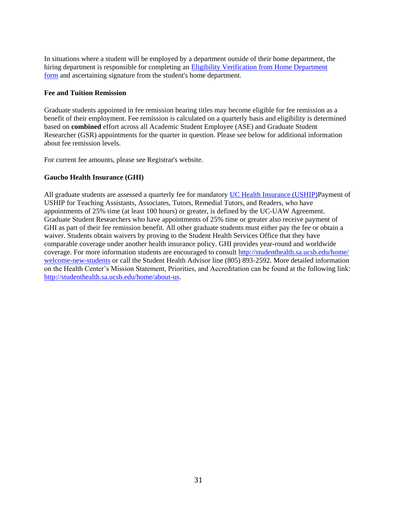In situations where a student will be employed by a department outside of their home department, the hiring department is responsible for completing an Eligibility Verification from Home Department form and ascertaining signature from the student's home department.

## **Fee and Tuition Remission**

Graduate students appointed in fee remission bearing titles may become eligible for fee remission as a benefit of their employment. Fee remission is calculated on a quarterly basis and eligibility is determined based on **combined** effort across all Academic Student Employee (ASE) and Graduate Student Researcher (GSR) appointments for the quarter in question. Please see below for additional information about fee remission levels.

For current fee amounts, please see Registrar's website.

## <span id="page-33-0"></span>**Gaucho Health Insurance (GHI)**

All graduate students are assessed a quarterly fee for mandatory UC Health Insurance (USHIP)Payment of USHIP for Teaching Assistants, Associates, Tutors, Remedial Tutors, and Readers, who have appointments of 25% time (at least 100 hours) or [greater, is defined by the UC-UAW](http://www.graddiv.ucsb.edu/docs/default-source/financial-support-documents/appteligverif.pdf?sfvrsn=2) Agreement. [Graduate S](http://www.graddiv.ucsb.edu/docs/default-source/financial-support-documents/appteligverif.pdf?sfvrsn=2)tudent Researchers who have appointments of 25% time or greater also receive payment of [GHI a](http://www.graddiv.ucsb.edu/docs/default-source/financial-support-documents/appteligverif.pdf?sfvrsn=2)s part of their fee remission benefit. All other graduate students must either pay the fee or obtain a waiver. Students obtain waivers by proving to the Student Health Services Office that they have comparable coverage under another health insurance policy. GHI provides year-round and worldwide coverage. For more information students are encouraged to consult<http://studenthealth.sa.ucsb.edu/home/> welcome-new-students or call the Student Health Advisor line (805) 893-2592. More detailed information on the Health Center's Mission Statement, Priorities, and Accreditation can be found at the following link: [http://studenthealth.sa.ucsb.edu/home/about-us.](http://studenthealth.sa.ucsb.edu/home/about-us)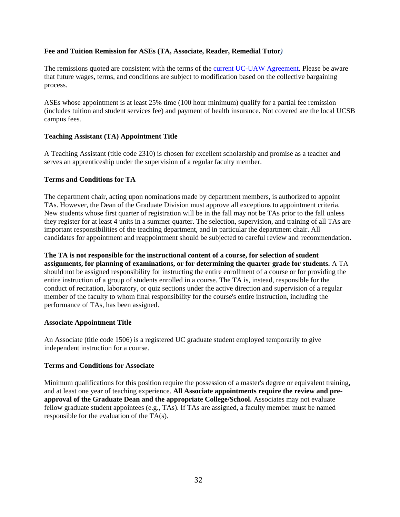## **Fee and Tuition Remission for ASEs (TA, Associate, Reader, Remedial Tutor***)*

The remissions quoted are consistent with the terms of the [current UC-UAW Agreement. P](http://ucnet.universityofcalifornia.edu/labor/bargaining-units/bx/contract.html)lease be aware that future wages, terms, and conditions are subject to modification based on the collective bargaining process.

ASEs whose appointment is at least 25% time (100 hour minimum) qualify for a partial fee remission (includes tuition and student services fee) and payment of health insurance. Not covered are the local UCSB campus fees.

## **Teaching Assistant (TA) Appointment [Title](http://www.graddiv.ucsb.edu/financial/fees-costs#fee-and-tuition-remission-for-gsrs)**

A Teaching Assistant (title code 2310) is chosen for excellent scholarship and promise as a teacher and serves an apprenticeship under the supervision of a regular faculty member.

#### **Terms and Conditions for TA**

The department chair, acting upon nominations made by department members, is authorized to appoint TAs. However, the Dean of the Graduate Division must approve all exceptions to appointment criteria. New students whose first quarter of registration will be in the fall may not be TAs prior to the fall unless they register for at least 4 units in a summer quarter. The selection, supervision, and training of all TAs are important responsibilities of the teaching department, and in particular the department chair. All candidates for appointment and reappointment should be subjected to careful review and recommendation.

**The TA is not responsible for the instructional content of a course, for selection of student assignments, for planning of examinations, or for determining the quarter grade for students.** A TA should not be assigned responsibility for instructing the entire enrollment of a course or for providing the entire instruction of a group of students enrolled in a course. The TA is, instead, responsible for the conduct of recitation, laboratory, or quiz sections under the active direction and supervision of a regular member of the faculty to whom final responsibility for the course's entire instruction, including the performance of TAs, has been assigned.

#### **Associate Appointment Title**

An Associate (title code 1506) is a registered UC graduate student employed temporarily to give independent instruction for a course.

#### **Terms and Conditions for Associate**

Minimum qualifications for this position require the possession of a master's degree or equivalent training, and at least one year of teaching experience. **All Associate appointments require the review and preapproval of the Graduate Dean and the appropriate College/School.** Associates may not evaluate fellow graduate student appointees (e.g., TAs). If TAs are assigned, a faculty member must be named responsible for the evaluation of the TA(s).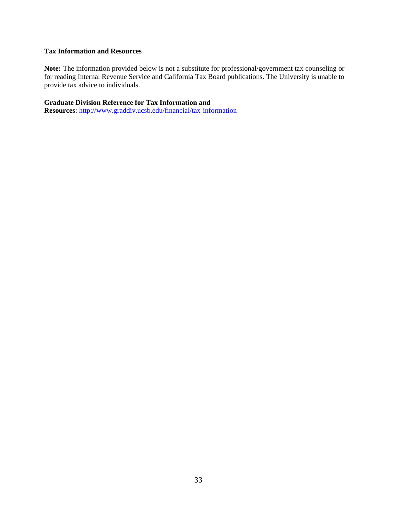## <span id="page-35-0"></span>**Tax Information and Resources**

**Note:** The information provided below is not a substitute for professional/government tax counseling or for reading Internal Revenue Service and California Tax Board publications. The University is unable to provide tax advice to individuals.

**Graduate Division Reference for Tax Information and** 

**Resources**:<http://www.graddiv.ucsb.edu/financial/tax-information>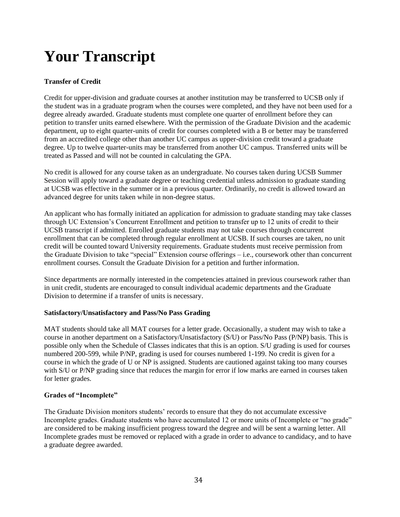# <span id="page-36-0"></span>**Your Transcript**

## <span id="page-36-1"></span>**Transfer of Credit**

Credit for upper-division and graduate courses at another institution may be transferred to UCSB only if the student was in a graduate program when the courses were completed, and they have not been used for a degree already awarded. Graduate students must complete one quarter of enrollment before they can petition to transfer units earned elsewhere. With the permission of the Graduate Division and the academic department, up to eight quarter-units of credit for courses completed with a B or better may be transferred from an accredited college other than another UC campus as upper-division credit toward a graduate degree. Up to twelve quarter-units may be transferred from another UC campus. Transferred units will be treated as Passed and will not be counted in calculating the GPA.

No credit is allowed for any course taken as an undergraduate. No courses taken during UCSB Summer Session will apply toward a graduate degree or teaching credential unless admission to graduate standing at UCSB was effective in the summer or in a previous quarter. Ordinarily, no credit is allowed toward an advanced degree for units taken while in non-degree status.

An applicant who has formally initiated an application for admission to graduate standing may take classes through UC Extension's Concurrent Enrollment and petition to transfer up to 12 units of credit to their UCSB transcript if admitted. Enrolled graduate students may not take courses through concurrent enrollment that can be completed through regular enrollment at UCSB. If such courses are taken, no unit credit will be counted toward University requirements. Graduate students must receive permission from the Graduate Division to take "special" Extension course offerings – i.e., coursework other than concurrent enrollment courses. Consult the Graduate Division for a petition and further information.

Since departments are normally interested in the competencies attained in previous coursework rather than in unit credit, students are encouraged to consult individual academic departments and the Graduate Division to determine if a transfer of units is necessary.

## <span id="page-36-2"></span>**Satisfactory/Unsatisfactory and Pass/No Pass Grading**

MAT students should take all MAT courses for a letter grade. Occasionally, a student may wish to take a course in another department on a Satisfactory/Unsatisfactory (S/U) or Pass/No Pass (P/NP) basis. This is possible only when the Schedule of Classes indicates that this is an option. S/U grading is used for courses numbered 200-599, while P/NP, grading is used for courses numbered 1-199. No credit is given for a course in which the grade of U or NP is assigned. Students are cautioned against taking too many courses with S/U or P/NP grading since that reduces the margin for error if low marks are earned in courses taken for letter grades.

## <span id="page-36-3"></span>**Grades of "Incomplete"**

The Graduate Division monitors students' records to ensure that they do not accumulate excessive Incomplete grades. Graduate students who have accumulated 12 or more units of Incomplete or "no grade" are considered to be making insufficient progress toward the degree and will be sent a warning letter. All Incomplete grades must be removed or replaced with a grade in order to advance to candidacy, and to have a graduate degree awarded.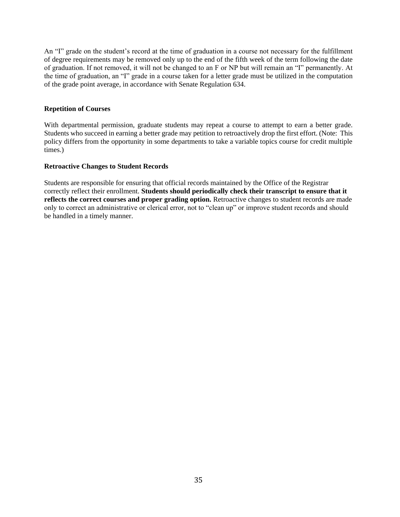An "I" grade on the student's record at the time of graduation in a course not necessary for the fulfillment of degree requirements may be removed only up to the end of the fifth week of the term following the date of graduation. If not removed, it will not be changed to an F or NP but will remain an "I" permanently. At the time of graduation, an "I" grade in a course taken for a letter grade must be utilized in the computation of the grade point average, in accordance with Senate Regulation 634.

#### <span id="page-37-0"></span>**Repetition of Courses**

With departmental permission, graduate students may repeat a course to attempt to earn a better grade. Students who succeed in earning a better grade may petition to retroactively drop the first effort. (Note: This policy differs from the opportunity in some departments to take a variable topics course for credit multiple times.)

#### <span id="page-37-1"></span>**Retroactive Changes to Student Records**

Students are responsible for ensuring that official records maintained by the Office of the Registrar correctly reflect their enrollment. **Students should periodically check their transcript to ensure that it reflects the correct courses and proper grading option.** Retroactive changes to student records are made only to correct an administrative or clerical error, not to "clean up" or improve student records and should be handled in a timely manner.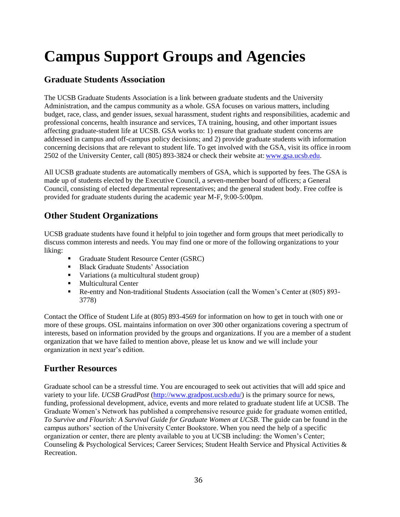# <span id="page-38-0"></span>**Campus Support Groups and Agencies**

# <span id="page-38-1"></span>**Graduate Students Association**

The UCSB Graduate Students Association is a link between graduate students and the University Administration, and the campus community as a whole. GSA focuses on various matters, including budget, race, class, and gender issues, sexual harassment, student rights and responsibilities, academic and professional concerns, health insurance and services, TA training, housing, and other important issues affecting graduate-student life at UCSB. GSA works to: 1) ensure that graduate student concerns are addressed in campus and off-campus policy decisions; and 2) provide graduate students with information concerning decisions that are relevant to student life. To get involved with the GSA, visit its office in room 2502 of the University Center, call (805) 893-3824 or check their website at: [www.gsa.ucsb.edu.](http://www.gsa.ucsb.edu/)

All UCSB graduate students are automatically members of GSA, which is supported by fees. The GSA is made up of students elected by the Executive Council, a seven-member board of officers; a General Council, consisting of elected departmental representatives; and the general student body. Free coffee is provided for graduate students during the academic year M-F, 9:00-5:00pm.

# <span id="page-38-2"></span>**Other Student Organizations**

UCSB graduate students have found it helpful to join together and form groups that meet periodically to discuss common interests and needs. You may find one or more of the following organizations to your liking:

- Graduate Student Resource Center (GSRC)
- Black Graduate Students' Association
- Variations (a multicultural student group)
- Multicultural Center
- Re-entry and Non-traditional Students Association (call the Women's Center at (805) 893- 3778)

Contact the Office of Student Life at (805) 893-4569 for information on how to get in touch with one or more of these groups. OSL maintains information on over 300 other organizations covering a spectrum of interests, based on information provided by the groups and organizations. If you are a member of a student organization that we have failed to mention above, please let us know and we will include your organization in next year's edition.

# <span id="page-38-3"></span>**Further Resources**

Graduate school can be a stressful time. You are encouraged to seek out activities that will add spice and variety to your life. *UCSB GradPost* [\(http://www.gradpost.ucsb.edu/\)](http://www.gradpost.ucsb.edu/) is the primary source for news, funding, professional development, advice, events and more related to graduate student life at UCSB. The Graduate Women's Network has published a comprehensive resource guide for graduate women entitled, *To Survive and Flourish: A Survival Guide for Graduate Women at UCSB*. The guide can be found in the campus authors' section of the University Center Bookstore. When you need the help of a specific organization or center, there are plenty available to you at UCSB including: the Women's Center; Counseling & Psychological Services; Career Services; Student Health Service and Physical Activities & Recreation.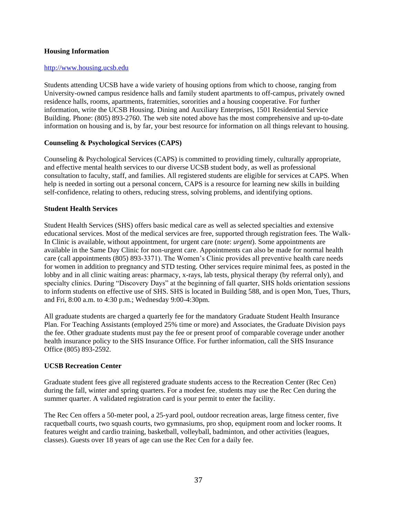## <span id="page-39-0"></span>**Housing Information**

#### [http://www.housing.ucsb.edu](http://www.housing.ucsb.edu/)

Students attending UCSB have a wide variety of housing options from which to choose, ranging from University-owned campus residence halls and family student apartments to off-campus, privately owned residence halls, rooms, apartments, fraternities, sororities and a housing cooperative. For further information, write the UCSB Housing. Dining and Auxiliary Enterprises, 1501 Residential Service Building. Phone: (805) 893-2760. The web site noted above has the most comprehensive and up-to-date information on housing and is, by far, your best resource for information on all things relevant to housing.

## <span id="page-39-1"></span>**Counseling & Psychological Services (CAPS)**

Counseling & Psychological Services (CAPS) is committed to providing timely, culturally appropriate, and effective mental health services to our diverse UCSB student body, as well as professional consultation to faculty, staff, and families. All registered students are eligible for services at CAPS. When help is needed in sorting out a personal concern, CAPS is a resource for learning new skills in building self-confidence, relating to others, reducing stress, solving problems, and identifying options.

#### <span id="page-39-2"></span>**Student Health Services**

Student Health Services (SHS) offers basic medical care as well as selected specialties and extensive educational services. Most of the medical services are free, supported through registration fees. The Walk-In Clinic is available, without appointment, for urgent care (note: *urgent*). Some appointments are available in the Same Day Clinic for non-urgent care. Appointments can also be made for normal health care (call appointments (805) 893-3371). The Women's Clinic provides all preventive health care needs for women in addition to pregnancy and STD testing. Other services require minimal fees, as posted in the lobby and in all clinic waiting areas: pharmacy, x-rays, lab tests, physical therapy (by referral only), and specialty clinics. During "Discovery Days" at the beginning of fall quarter, SHS holds orientation sessions to inform students on effective use of SHS. SHS is located in Building 588, and is open Mon, Tues, Thurs, and Fri, 8:00 a.m. to 4:30 p.m.; Wednesday 9:00-4:30pm.

All graduate students are charged a quarterly fee for the mandatory Graduate Student Health Insurance Plan. For Teaching Assistants (employed 25% time or more) and Associates, the Graduate Division pays the fee. Other graduate students must pay the fee or present proof of comparable coverage under another health insurance policy to the SHS Insurance Office. For further information, call the SHS Insurance Office (805) 893-2592.

## <span id="page-39-3"></span>**UCSB Recreation Center**

Graduate student fees give all registered graduate students access to the Recreation Center (Rec Cen) during the fall, winter and spring quarters. For a modest fee, students may use the Rec Cen during the summer quarter. A validated registration card is your permit to enter the facility.

The Rec Cen offers a 50-meter pool, a 25-yard pool, outdoor recreation areas, large fitness center, five racquetball courts, two squash courts, two gymnasiums, pro shop, equipment room and locker rooms. It features weight and cardio training, basketball, volleyball, badminton, and other activities (leagues, classes). Guests over 18 years of age can use the Rec Cen for a daily fee.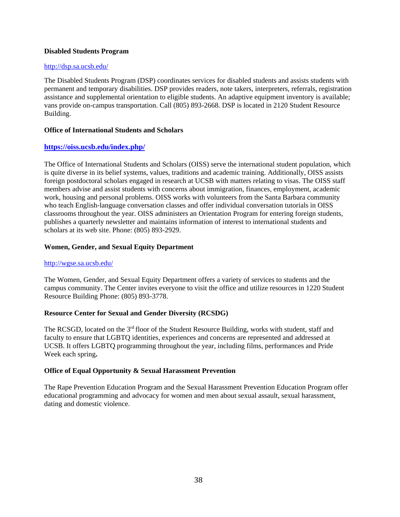#### <span id="page-40-0"></span>**Disabled Students Program**

#### <http://dsp.sa.ucsb.edu/>

The Disabled Students Program (DSP) coordinates services for disabled students and assists students with permanent and temporary disabilities. DSP provides readers, note takers, interpreters, referrals, registration assistance and supplemental orientation to eligible students. An adaptive equipment inventory is available; vans provide on-campus transportation. Call (805) 893-2668. DSP is located in 2120 Student Resource Building.

#### <span id="page-40-1"></span>**Office of International Students and Scholars**

## **<https://oiss.ucsb.edu/index.php/>**

The Office of International Students and Scholars (OISS) serve the international student population, which [is quite diverse in its belief s](http://www.oiss.ucsb.edu/)ystems, values, traditions and academic training. Additionally, OISS assists foreign postdoctoral scholars engaged in research at UCSB with matters relating to visas. The OISS staff members advise and assist students with concerns about immigration, finances, employment, academic work, housing and personal problems. OISS works with volunteers from the Santa Barbara community who teach English-language conversation classes and offer individual conversation tutorials in OISS classrooms throughout the year. OISS administers an Orientation Program for entering foreign students, publishes a quarterly newsletter and maintains information of interest to international students and scholars at its web site. Phone: (805) 893-2929.

## **Women, Gender, and Sexual Equity Department**

#### <http://wgse.sa.ucsb.edu/>

The Women, Gender, and Sexual Equity Department offers a variety of services to students and the [campus community. The C](http://wgse.sa.ucsb.edu/)enter invites everyone to visit the office and utilize resources in 1220 Student Resource Building Phone: (805) 893-3778.

## **Resource Center for Sexual and Gender Diversity (RCSDG)**

The RCSGD, located on the 3<sup>rd</sup> floor of the Student Resource Building, works with student, staff and faculty to ensure that LGBTQ identities, experiences and concerns are represented and addressed at UCSB. It offers LGBTQ programming throughout the year, including films, performances and Pride Week each spring**.**

## <span id="page-40-2"></span>**Office of Equal Opportunity & Sexual Harassment Prevention**

The Rape Prevention Education Program and the Sexual Harassment Prevention Education Program offer educational programming and advocacy for women and men about sexual assault, sexual harassment, dating and domestic violence.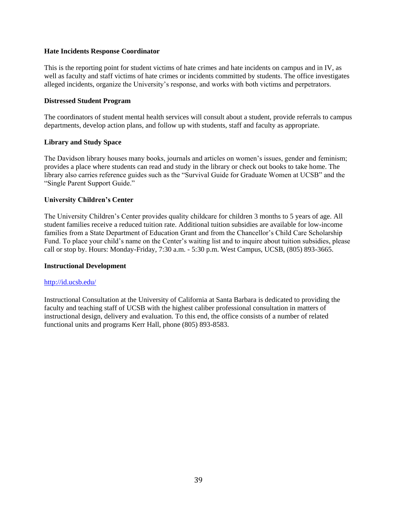#### <span id="page-41-0"></span>**Hate Incidents Response Coordinator**

This is the reporting point for student victims of hate crimes and hate incidents on campus and in IV, as well as faculty and staff victims of hate crimes or incidents committed by students. The office investigates alleged incidents, organize the University's response, and works with both victims and perpetrators.

#### **Distressed Student Program**

The coordinators of student mental health services will consult about a student, provide referrals to campus departments, develop action plans, and follow up with students, staff and faculty as appropriate.

## <span id="page-41-1"></span>**Library and Study Space**

The Davidson library houses many books, journals and articles on women's issues, gender and feminism; provides a place where students can read and study in the library or check out books to take home. The library also carries reference guides such as the "Survival Guide for Graduate Women at UCSB" and the "Single Parent Support Guide."

#### **University Children's Center**

The University Children's Center provides quality childcare for children 3 months to 5 years of age. All student families receive a reduced tuition rate. Additional tuition subsidies are available for low-income families from a State Department of Education Grant and from the Chancellor's Child Care Scholarship Fund. To place your child's name on the Center's waiting list and to inquire about tuition subsidies, please call or stop by. Hours: Monday-Friday, 7:30 a.m. - 5:30 p.m. West Campus, UCSB, (805) 893-3665.

#### <span id="page-41-2"></span>**Instructional Development**

#### <http://id.ucsb.edu/>

Instructional Consultation at the University of California at Santa Barbara is dedicated to providing the faculty and teaching staff of UCSB with the highest caliber professional consultation in matters of instructional design, delivery and evaluation. To this end, the office consists of a number of related functional units and programs Kerr Hall, phone (805) 893-8583.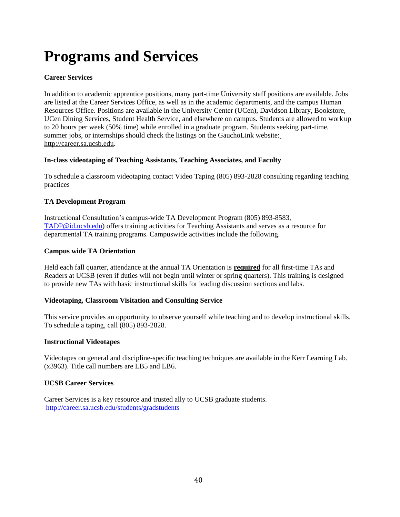# <span id="page-42-0"></span>**Programs and Services**

## <span id="page-42-1"></span>**Career Services**

In addition to academic apprentice positions, many part-time University staff positions are available. Jobs are listed at the Career Services Office, as well as in the academic departments, and the campus Human Resources Office. Positions are available in the University Center (UCen), Davidson Library, Bookstore, UCen Dining Services, Student Health Service, and elsewhere on campus. Students are allowed to work up to 20 hours per week (50% time) while enrolled in a graduate program. Students seeking part-time, summer jobs, or internships should check the listings on the GauchoLink website: [http://career.sa.ucsb.edu.](http://career.sa.ucsb.edu/)

## <span id="page-42-2"></span>**In-class videotaping of Teaching Assistants, Teaching Associates, and Faculty**

To schedule a classroom videotaping contact Video Taping (805) 893-2828 consulting regarding teaching practices

## <span id="page-42-3"></span>**TA Development Program**

Instructional Consultation's campus-wide TA Development Program (805) 893-8583, [TADP@id.ucsb.edu\)](mailto:TADP@id.ucsb.edu) offers training activities for Teaching Assistants and serves as a resource for departmental TA training programs. Campuswide activities include the following.

## <span id="page-42-4"></span>**Campus wide TA Orientation**

Held each fall quarter, attendance at the annual TA Orientation is **required** for all first-time TAs and Readers at UCSB (even if duties will not begin until winter or spring quarters). This training is designed to provide new TAs with basic instructional skills for leading discussion sections and labs.

## <span id="page-42-5"></span>**Videotaping, Classroom Visitation and Consulting Service**

This service provides an opportunity to observe yourself while teaching and to develop instructional skills. To schedule a taping, call (805) 893-2828.

## <span id="page-42-6"></span>**Instructional Videotapes**

Videotapes on general and discipline-specific teaching techniques are available in the Kerr Learning Lab. (x3963). Title call numbers are LB5 and LB6.

## <span id="page-42-7"></span>**UCSB Career Services**

Career Services is a key resource and trusted ally to UCSB graduate students. <http://career.sa.ucsb.edu/students/gradstudents>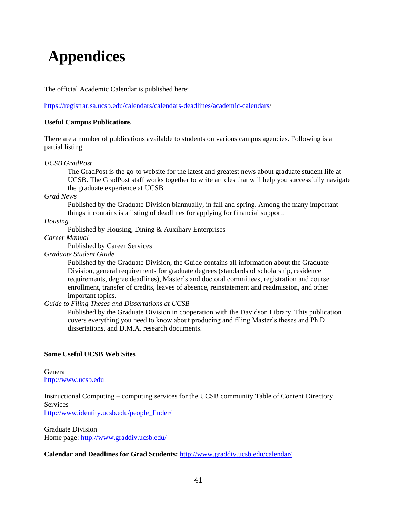# <span id="page-43-0"></span>**Appendices**

The official Academic Calendar is published here:

[https://registrar.sa.ucsb.edu/calendars/calendars-deadlines/academic-calendars/](https://registrar.sa.ucsb.edu/calendars/calendars-deadlines/academic-calendars/academic-calendar-for-2019-2020)

#### **Useful Campus Publications**

There are a number of publications available to students on various campus agencies. Following is a partial listing.

#### *UCSB GradPost*

The GradPost is the go-to website for the latest and greatest news about graduate student life at UCSB. The GradPost staff works together to write articles that will help you successfully navigate the graduate experience at UCSB.

*Grad News*

Published by the Graduate Division biannually, in fall and spring. Among the many important things it contains is a listing of deadlines for applying for financial support.

*Housing*

Published by Housing, Dining & Auxiliary Enterprises

*Career Manual*

Published by Career Services

*Graduate Student Guide*

Published by the Graduate Division, the Guide contains all information about the Graduate Division, general requirements for graduate degrees (standards of scholarship, residence requirements, degree deadlines), Master's and doctoral committees, registration and course enrollment, transfer of credits, leaves of absence, reinstatement and readmission, and other important topics.

*Guide to Filing Theses and Dissertations at UCSB*

Published by the Graduate Division in cooperation with the Davidson Library. This publication covers everything you need to know about producing and filing Master's theses and Ph.D. dissertations, and D.M.A. research documents.

## **Some Useful UCSB Web Sites**

General [http://www.ucsb.edu](http://www.ucsb.edu/)

Instructional Computing – computing services for the UCSB community Table of Content Directory **Services** 

[http://www.identity.ucsb.edu/people\\_finder/](http://www.identity.ucsb.edu/people_finder/)

Graduate Division Home page:<http://www.graddiv.ucsb.edu/>

## **Calendar and Deadlines for Grad Students:** <http://www.graddiv.ucsb.edu/calendar/>